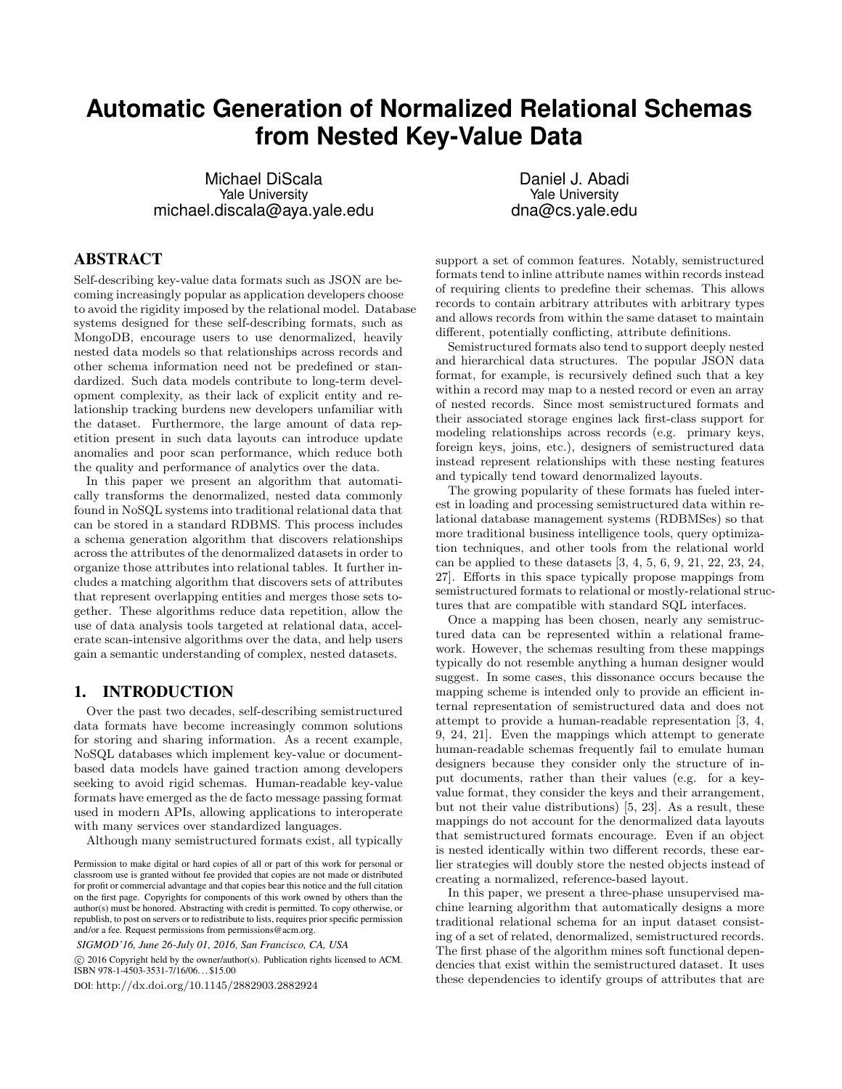# **Automatic Generation of Normalized Relational Schemas from Nested Key-Value Data**

Michael DiScala Yale University michael.discala@aya.yale.edu

# ABSTRACT

Self-describing key-value data formats such as JSON are becoming increasingly popular as application developers choose to avoid the rigidity imposed by the relational model. Database systems designed for these self-describing formats, such as MongoDB, encourage users to use denormalized, heavily nested data models so that relationships across records and other schema information need not be predefined or standardized. Such data models contribute to long-term development complexity, as their lack of explicit entity and relationship tracking burdens new developers unfamiliar with the dataset. Furthermore, the large amount of data repetition present in such data layouts can introduce update anomalies and poor scan performance, which reduce both the quality and performance of analytics over the data.

In this paper we present an algorithm that automatically transforms the denormalized, nested data commonly found in NoSQL systems into traditional relational data that can be stored in a standard RDBMS. This process includes a schema generation algorithm that discovers relationships across the attributes of the denormalized datasets in order to organize those attributes into relational tables. It further includes a matching algorithm that discovers sets of attributes that represent overlapping entities and merges those sets together. These algorithms reduce data repetition, allow the use of data analysis tools targeted at relational data, accelerate scan-intensive algorithms over the data, and help users gain a semantic understanding of complex, nested datasets.

## 1. INTRODUCTION

Over the past two decades, self-describing semistructured data formats have become increasingly common solutions for storing and sharing information. As a recent example, NoSQL databases which implement key-value or documentbased data models have gained traction among developers seeking to avoid rigid schemas. Human-readable key-value formats have emerged as the de facto message passing format used in modern APIs, allowing applications to interoperate with many services over standardized languages.

Although many semistructured formats exist, all typically

*SIGMOD'16, June 26-July 01, 2016, San Francisco, CA, USA*

 c 2016 Copyright held by the owner/author(s). Publication rights licensed to ACM. ISBN 978-1-4503-3531-7/16/06. . . \$15.00

DOI: http://dx.doi.org/10.1145/2882903.2882924

Daniel J. Abadi Yale University dna@cs.yale.edu

support a set of common features. Notably, semistructured formats tend to inline attribute names within records instead of requiring clients to predefine their schemas. This allows records to contain arbitrary attributes with arbitrary types and allows records from within the same dataset to maintain different, potentially conflicting, attribute definitions.

Semistructured formats also tend to support deeply nested and hierarchical data structures. The popular JSON data format, for example, is recursively defined such that a key within a record may map to a nested record or even an array of nested records. Since most semistructured formats and their associated storage engines lack first-class support for modeling relationships across records (e.g. primary keys, foreign keys, joins, etc.), designers of semistructured data instead represent relationships with these nesting features and typically tend toward denormalized layouts.

The growing popularity of these formats has fueled interest in loading and processing semistructured data within relational database management systems (RDBMSes) so that more traditional business intelligence tools, query optimization techniques, and other tools from the relational world can be applied to these datasets [3, 4, 5, 6, 9, 21, 22, 23, 24, 27]. Efforts in this space typically propose mappings from semistructured formats to relational or mostly-relational structures that are compatible with standard SQL interfaces.

Once a mapping has been chosen, nearly any semistructured data can be represented within a relational framework. However, the schemas resulting from these mappings typically do not resemble anything a human designer would suggest. In some cases, this dissonance occurs because the mapping scheme is intended only to provide an efficient internal representation of semistructured data and does not attempt to provide a human-readable representation [3, 4, 9, 24, 21]. Even the mappings which attempt to generate human-readable schemas frequently fail to emulate human designers because they consider only the structure of input documents, rather than their values (e.g. for a keyvalue format, they consider the keys and their arrangement, but not their value distributions) [5, 23]. As a result, these mappings do not account for the denormalized data layouts that semistructured formats encourage. Even if an object is nested identically within two different records, these earlier strategies will doubly store the nested objects instead of creating a normalized, reference-based layout.

In this paper, we present a three-phase unsupervised machine learning algorithm that automatically designs a more traditional relational schema for an input dataset consisting of a set of related, denormalized, semistructured records. The first phase of the algorithm mines soft functional dependencies that exist within the semistructured dataset. It uses these dependencies to identify groups of attributes that are

Permission to make digital or hard copies of all or part of this work for personal or classroom use is granted without fee provided that copies are not made or distributed for profit or commercial advantage and that copies bear this notice and the full citation on the first page. Copyrights for components of this work owned by others than the author(s) must be honored. Abstracting with credit is permitted. To copy otherwise, or republish, to post on servers or to redistribute to lists, requires prior specific permission and/or a fee. Request permissions from permissions@acm.org.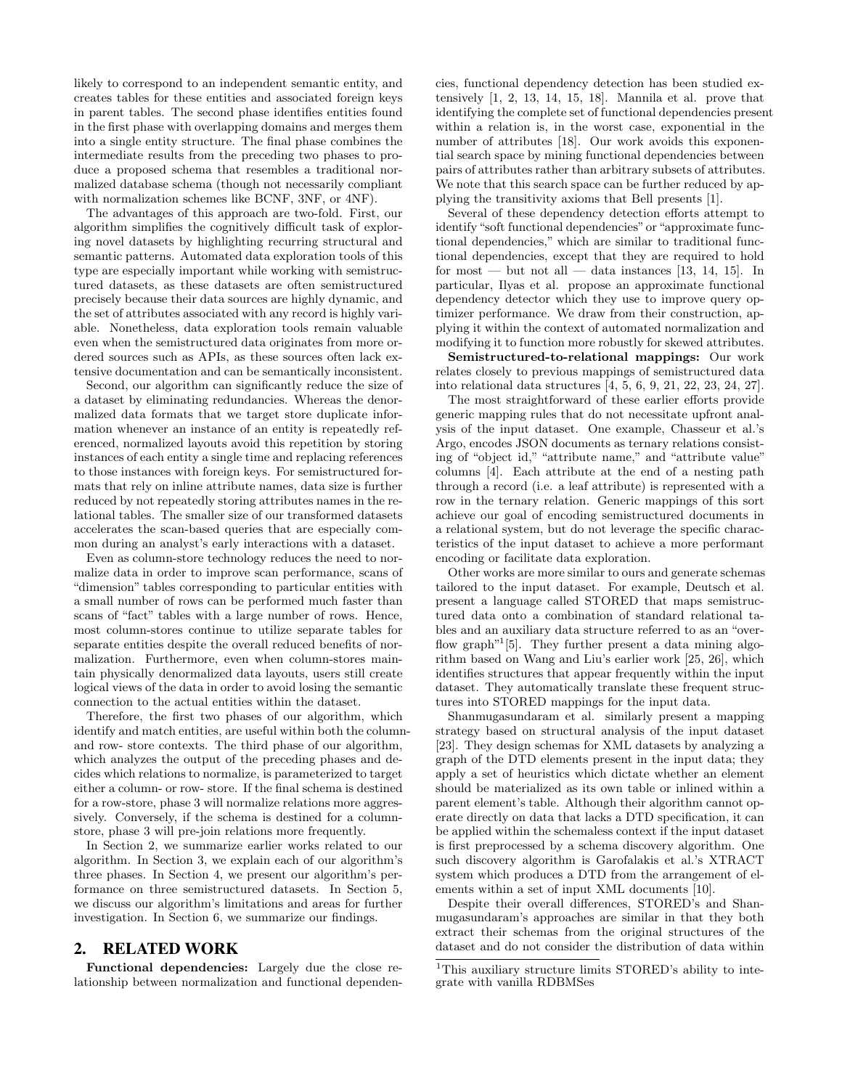likely to correspond to an independent semantic entity, and creates tables for these entities and associated foreign keys in parent tables. The second phase identifies entities found in the first phase with overlapping domains and merges them into a single entity structure. The final phase combines the intermediate results from the preceding two phases to produce a proposed schema that resembles a traditional normalized database schema (though not necessarily compliant with normalization schemes like BCNF, 3NF, or 4NF).

The advantages of this approach are two-fold. First, our algorithm simplifies the cognitively difficult task of exploring novel datasets by highlighting recurring structural and semantic patterns. Automated data exploration tools of this type are especially important while working with semistructured datasets, as these datasets are often semistructured precisely because their data sources are highly dynamic, and the set of attributes associated with any record is highly variable. Nonetheless, data exploration tools remain valuable even when the semistructured data originates from more ordered sources such as APIs, as these sources often lack extensive documentation and can be semantically inconsistent.

Second, our algorithm can significantly reduce the size of a dataset by eliminating redundancies. Whereas the denormalized data formats that we target store duplicate information whenever an instance of an entity is repeatedly referenced, normalized layouts avoid this repetition by storing instances of each entity a single time and replacing references to those instances with foreign keys. For semistructured formats that rely on inline attribute names, data size is further reduced by not repeatedly storing attributes names in the relational tables. The smaller size of our transformed datasets accelerates the scan-based queries that are especially common during an analyst's early interactions with a dataset.

Even as column-store technology reduces the need to normalize data in order to improve scan performance, scans of "dimension" tables corresponding to particular entities with a small number of rows can be performed much faster than scans of "fact" tables with a large number of rows. Hence, most column-stores continue to utilize separate tables for separate entities despite the overall reduced benefits of normalization. Furthermore, even when column-stores maintain physically denormalized data layouts, users still create logical views of the data in order to avoid losing the semantic connection to the actual entities within the dataset.

Therefore, the first two phases of our algorithm, which identify and match entities, are useful within both the columnand row- store contexts. The third phase of our algorithm, which analyzes the output of the preceding phases and decides which relations to normalize, is parameterized to target either a column- or row- store. If the final schema is destined for a row-store, phase 3 will normalize relations more aggressively. Conversely, if the schema is destined for a columnstore, phase 3 will pre-join relations more frequently.

In Section 2, we summarize earlier works related to our algorithm. In Section 3, we explain each of our algorithm's three phases. In Section 4, we present our algorithm's performance on three semistructured datasets. In Section 5, we discuss our algorithm's limitations and areas for further investigation. In Section 6, we summarize our findings.

## 2. RELATED WORK

Functional dependencies: Largely due the close relationship between normalization and functional dependencies, functional dependency detection has been studied extensively [1, 2, 13, 14, 15, 18]. Mannila et al. prove that identifying the complete set of functional dependencies present within a relation is, in the worst case, exponential in the number of attributes [18]. Our work avoids this exponential search space by mining functional dependencies between pairs of attributes rather than arbitrary subsets of attributes. We note that this search space can be further reduced by applying the transitivity axioms that Bell presents [1].

Several of these dependency detection efforts attempt to identify "soft functional dependencies" or "approximate functional dependencies," which are similar to traditional functional dependencies, except that they are required to hold for most — but not all — data instances [13, 14, 15]. In particular, Ilyas et al. propose an approximate functional dependency detector which they use to improve query optimizer performance. We draw from their construction, applying it within the context of automated normalization and modifying it to function more robustly for skewed attributes.

Semistructured-to-relational mappings: Our work relates closely to previous mappings of semistructured data into relational data structures [4, 5, 6, 9, 21, 22, 23, 24, 27].

The most straightforward of these earlier efforts provide generic mapping rules that do not necessitate upfront analysis of the input dataset. One example, Chasseur et al.'s Argo, encodes JSON documents as ternary relations consisting of "object id," "attribute name," and "attribute value" columns [4]. Each attribute at the end of a nesting path through a record (i.e. a leaf attribute) is represented with a row in the ternary relation. Generic mappings of this sort achieve our goal of encoding semistructured documents in a relational system, but do not leverage the specific characteristics of the input dataset to achieve a more performant encoding or facilitate data exploration.

Other works are more similar to ours and generate schemas tailored to the input dataset. For example, Deutsch et al. present a language called STORED that maps semistructured data onto a combination of standard relational tables and an auxiliary data structure referred to as an "overflow graph<sup>"1</sup>[5]. They further present a data mining algorithm based on Wang and Liu's earlier work [25, 26], which identifies structures that appear frequently within the input dataset. They automatically translate these frequent structures into STORED mappings for the input data.

Shanmugasundaram et al. similarly present a mapping strategy based on structural analysis of the input dataset [23]. They design schemas for XML datasets by analyzing a graph of the DTD elements present in the input data; they apply a set of heuristics which dictate whether an element should be materialized as its own table or inlined within a parent element's table. Although their algorithm cannot operate directly on data that lacks a DTD specification, it can be applied within the schemaless context if the input dataset is first preprocessed by a schema discovery algorithm. One such discovery algorithm is Garofalakis et al.'s XTRACT system which produces a DTD from the arrangement of elements within a set of input XML documents [10].

Despite their overall differences, STORED's and Shanmugasundaram's approaches are similar in that they both extract their schemas from the original structures of the dataset and do not consider the distribution of data within

<sup>&</sup>lt;sup>1</sup>This auxiliary structure limits STORED's ability to integrate with vanilla RDBMSes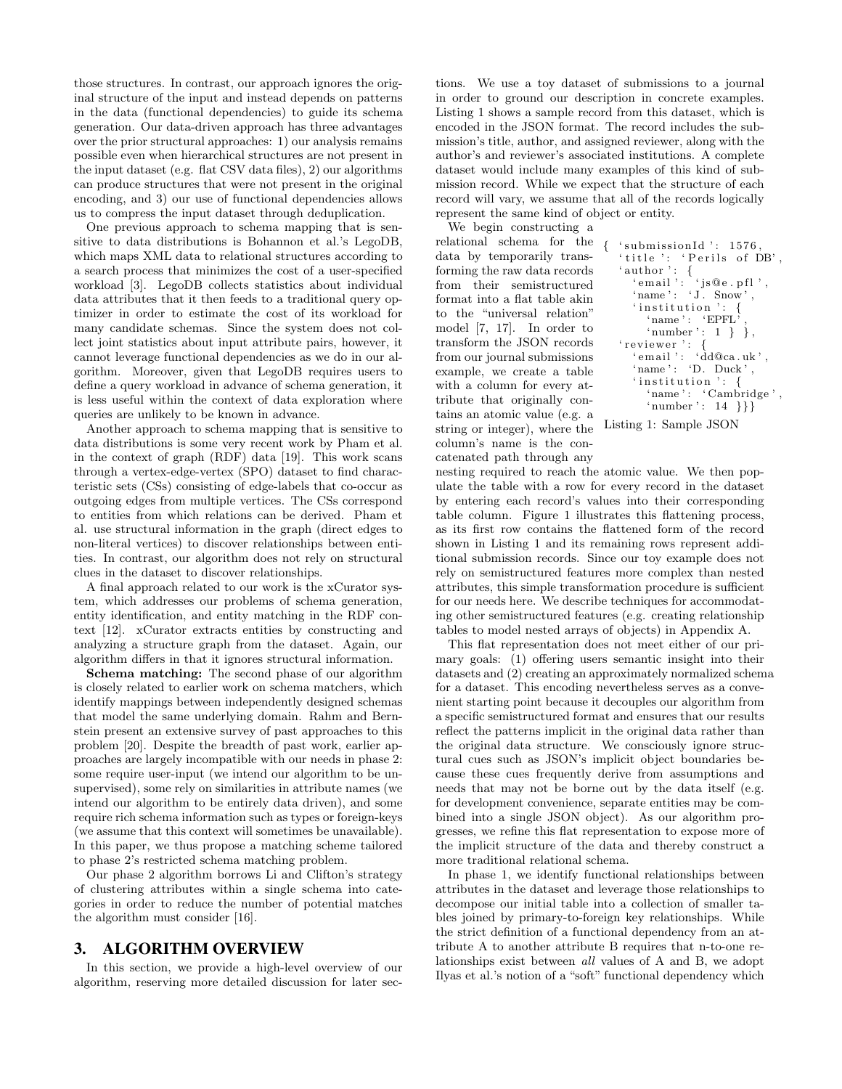those structures. In contrast, our approach ignores the original structure of the input and instead depends on patterns in the data (functional dependencies) to guide its schema generation. Our data-driven approach has three advantages over the prior structural approaches: 1) our analysis remains possible even when hierarchical structures are not present in the input dataset (e.g. flat CSV data files), 2) our algorithms can produce structures that were not present in the original encoding, and 3) our use of functional dependencies allows us to compress the input dataset through deduplication.

One previous approach to schema mapping that is sensitive to data distributions is Bohannon et al.'s LegoDB, which maps XML data to relational structures according to a search process that minimizes the cost of a user-specified workload [3]. LegoDB collects statistics about individual data attributes that it then feeds to a traditional query optimizer in order to estimate the cost of its workload for many candidate schemas. Since the system does not collect joint statistics about input attribute pairs, however, it cannot leverage functional dependencies as we do in our algorithm. Moreover, given that LegoDB requires users to define a query workload in advance of schema generation, it is less useful within the context of data exploration where queries are unlikely to be known in advance.

Another approach to schema mapping that is sensitive to data distributions is some very recent work by Pham et al. in the context of graph (RDF) data [19]. This work scans through a vertex-edge-vertex (SPO) dataset to find characteristic sets (CSs) consisting of edge-labels that co-occur as outgoing edges from multiple vertices. The CSs correspond to entities from which relations can be derived. Pham et al. use structural information in the graph (direct edges to non-literal vertices) to discover relationships between entities. In contrast, our algorithm does not rely on structural clues in the dataset to discover relationships.

A final approach related to our work is the xCurator system, which addresses our problems of schema generation, entity identification, and entity matching in the RDF context [12]. xCurator extracts entities by constructing and analyzing a structure graph from the dataset. Again, our algorithm differs in that it ignores structural information.

Schema matching: The second phase of our algorithm is closely related to earlier work on schema matchers, which identify mappings between independently designed schemas that model the same underlying domain. Rahm and Bernstein present an extensive survey of past approaches to this problem [20]. Despite the breadth of past work, earlier approaches are largely incompatible with our needs in phase 2: some require user-input (we intend our algorithm to be unsupervised), some rely on similarities in attribute names (we intend our algorithm to be entirely data driven), and some require rich schema information such as types or foreign-keys (we assume that this context will sometimes be unavailable). In this paper, we thus propose a matching scheme tailored to phase 2's restricted schema matching problem.

Our phase 2 algorithm borrows Li and Clifton's strategy of clustering attributes within a single schema into categories in order to reduce the number of potential matches the algorithm must consider [16].

## 3. ALGORITHM OVERVIEW

In this section, we provide a high-level overview of our algorithm, reserving more detailed discussion for later sections. We use a toy dataset of submissions to a journal in order to ground our description in concrete examples. Listing 1 shows a sample record from this dataset, which is encoded in the JSON format. The record includes the submission's title, author, and assigned reviewer, along with the author's and reviewer's associated institutions. A complete dataset would include many examples of this kind of submission record. While we expect that the structure of each record will vary, we assume that all of the records logically represent the same kind of object or entity.

We begin constructing a relational schema for the data by temporarily transforming the raw data records from their semistructured format into a flat table akin to the "universal relation" model [7, 17]. In order to transform the JSON records from our journal submissions example, we create a table with a column for every attribute that originally contains an atomic value (e.g. a string or integer), where the column's name is the concatenated path through any

```
'submissionId ': 1576
' title ': 'Perils of DB',
\begin{array}{ccc} \text{'author'}: & \{ \\ \text{'email'}: & \text{'js@e.pdf} \end{array},' email ': ' js@e . pfl ',
   ' name ': ' J . Snow',
   ' institution ': {
      ' name ': 'EPFL'
      'number ': 1 } \},
' reviewer ': {
   ' email ': ' dd@ca.uk',
   ' name ': 'D. Duck',
   ' institution ': \{' name ': ' Cambridge',
      'number ': 14 }}}
```
Listing 1: Sample JSON

nesting required to reach the atomic value. We then populate the table with a row for every record in the dataset by entering each record's values into their corresponding table column. Figure 1 illustrates this flattening process, as its first row contains the flattened form of the record shown in Listing 1 and its remaining rows represent additional submission records. Since our toy example does not rely on semistructured features more complex than nested attributes, this simple transformation procedure is sufficient for our needs here. We describe techniques for accommodating other semistructured features (e.g. creating relationship tables to model nested arrays of objects) in Appendix A.

This flat representation does not meet either of our primary goals: (1) offering users semantic insight into their datasets and (2) creating an approximately normalized schema for a dataset. This encoding nevertheless serves as a convenient starting point because it decouples our algorithm from a specific semistructured format and ensures that our results reflect the patterns implicit in the original data rather than the original data structure. We consciously ignore structural cues such as JSON's implicit object boundaries because these cues frequently derive from assumptions and needs that may not be borne out by the data itself (e.g. for development convenience, separate entities may be combined into a single JSON object). As our algorithm progresses, we refine this flat representation to expose more of the implicit structure of the data and thereby construct a more traditional relational schema.

In phase 1, we identify functional relationships between attributes in the dataset and leverage those relationships to decompose our initial table into a collection of smaller tables joined by primary-to-foreign key relationships. While the strict definition of a functional dependency from an attribute A to another attribute B requires that n-to-one relationships exist between all values of A and B, we adopt Ilyas et al.'s notion of a "soft" functional dependency which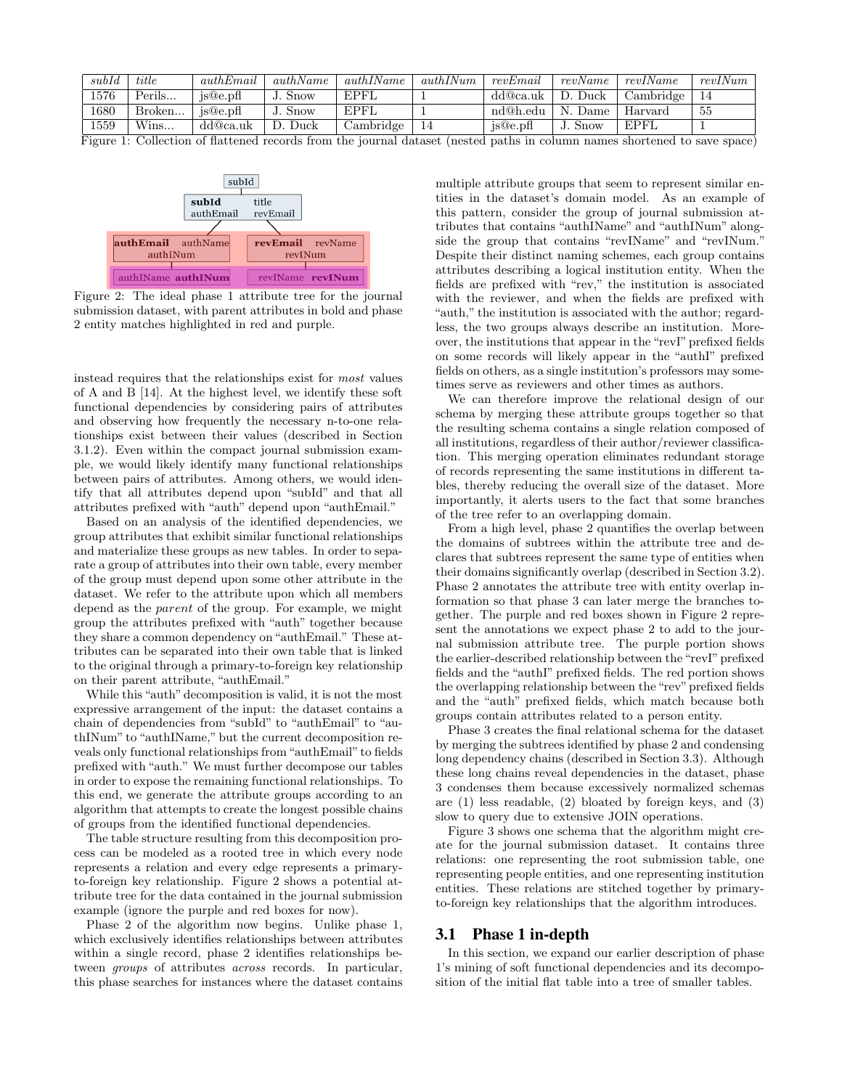| subId | <i>title</i> | <i>authEmail</i> | authName | authIName   | authINum | revEmail | revName | revIName    | revINum |
|-------|--------------|------------------|----------|-------------|----------|----------|---------|-------------|---------|
| 1576  | Perils       | is@e.pdf         | J. Snow  | EPFL        |          | dd@ca.uk | D. Duck | Cambridge   |         |
| 1680  | Broken       | is@e.pfl         | J. Snow  | <b>EPFL</b> |          | nd@h.edu | N. Dame | Harvard     | 55      |
| 1559  | Wins         | dd@ca.uk         | D. Duck  | Cambridge   | 14       | is@e.pdf | J. Snow | <b>EPFL</b> |         |

Figure 1: Collection of flattened records from the journal dataset (nested paths in column names shortened to save space)



Figure 2: The ideal phase 1 attribute tree for the journal submission dataset, with parent attributes in bold and phase 2 entity matches highlighted in red and purple.

instead requires that the relationships exist for most values of A and B [14]. At the highest level, we identify these soft functional dependencies by considering pairs of attributes and observing how frequently the necessary n-to-one relationships exist between their values (described in Section 3.1.2). Even within the compact journal submission example, we would likely identify many functional relationships between pairs of attributes. Among others, we would identify that all attributes depend upon "subId" and that all attributes prefixed with "auth" depend upon "authEmail."

Based on an analysis of the identified dependencies, we group attributes that exhibit similar functional relationships and materialize these groups as new tables. In order to separate a group of attributes into their own table, every member of the group must depend upon some other attribute in the dataset. We refer to the attribute upon which all members depend as the parent of the group. For example, we might group the attributes prefixed with "auth" together because they share a common dependency on "authEmail." These attributes can be separated into their own table that is linked to the original through a primary-to-foreign key relationship on their parent attribute, "authEmail."

While this "auth" decomposition is valid, it is not the most expressive arrangement of the input: the dataset contains a chain of dependencies from "subId" to "authEmail" to "authINum" to "authIName," but the current decomposition reveals only functional relationships from "authEmail" to fields prefixed with "auth." We must further decompose our tables in order to expose the remaining functional relationships. To this end, we generate the attribute groups according to an algorithm that attempts to create the longest possible chains of groups from the identified functional dependencies.

The table structure resulting from this decomposition process can be modeled as a rooted tree in which every node represents a relation and every edge represents a primaryto-foreign key relationship. Figure 2 shows a potential attribute tree for the data contained in the journal submission example (ignore the purple and red boxes for now).

Phase 2 of the algorithm now begins. Unlike phase 1, which exclusively identifies relationships between attributes within a single record, phase 2 identifies relationships between groups of attributes across records. In particular, this phase searches for instances where the dataset contains multiple attribute groups that seem to represent similar entities in the dataset's domain model. As an example of this pattern, consider the group of journal submission attributes that contains "authIName" and "authINum" alongside the group that contains "revIName" and "revINum." Despite their distinct naming schemes, each group contains attributes describing a logical institution entity. When the fields are prefixed with "rev," the institution is associated with the reviewer, and when the fields are prefixed with "auth," the institution is associated with the author; regardless, the two groups always describe an institution. Moreover, the institutions that appear in the "revI" prefixed fields on some records will likely appear in the "authI" prefixed fields on others, as a single institution's professors may sometimes serve as reviewers and other times as authors.

We can therefore improve the relational design of our schema by merging these attribute groups together so that the resulting schema contains a single relation composed of all institutions, regardless of their author/reviewer classification. This merging operation eliminates redundant storage of records representing the same institutions in different tables, thereby reducing the overall size of the dataset. More importantly, it alerts users to the fact that some branches of the tree refer to an overlapping domain.

From a high level, phase 2 quantifies the overlap between the domains of subtrees within the attribute tree and declares that subtrees represent the same type of entities when their domains significantly overlap (described in Section 3.2). Phase 2 annotates the attribute tree with entity overlap information so that phase 3 can later merge the branches together. The purple and red boxes shown in Figure 2 represent the annotations we expect phase 2 to add to the journal submission attribute tree. The purple portion shows the earlier-described relationship between the "revI" prefixed fields and the "authI" prefixed fields. The red portion shows the overlapping relationship between the "rev" prefixed fields and the "auth" prefixed fields, which match because both groups contain attributes related to a person entity.

Phase 3 creates the final relational schema for the dataset by merging the subtrees identified by phase 2 and condensing long dependency chains (described in Section 3.3). Although these long chains reveal dependencies in the dataset, phase 3 condenses them because excessively normalized schemas are (1) less readable, (2) bloated by foreign keys, and (3) slow to query due to extensive JOIN operations.

Figure 3 shows one schema that the algorithm might create for the journal submission dataset. It contains three relations: one representing the root submission table, one representing people entities, and one representing institution entities. These relations are stitched together by primaryto-foreign key relationships that the algorithm introduces.

# 3.1 Phase 1 in-depth

In this section, we expand our earlier description of phase 1's mining of soft functional dependencies and its decomposition of the initial flat table into a tree of smaller tables.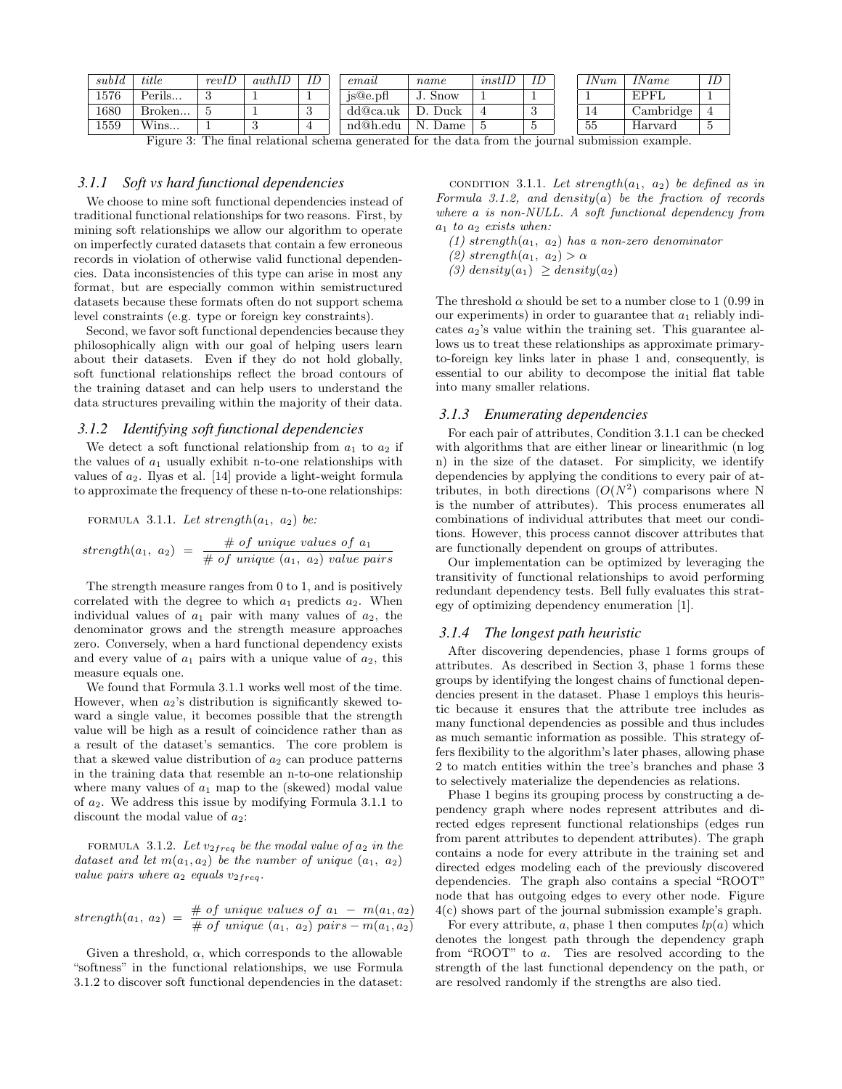| subId | title  | revID | authID | ID | email    | name         | instIL | IE | INum | IName     |    |
|-------|--------|-------|--------|----|----------|--------------|--------|----|------|-----------|----|
| 1576  | Perils |       |        |    | js@e.pfl | Snow<br>. ل. |        |    |      | EPFL      |    |
| 680   | Broken |       |        |    | dd@ca.uk | Duck         |        |    | 14   | Cambridge |    |
| 1559  | Wins   |       |        |    | nd@h.edu | $\n  Dame\n$ |        |    | 55   | Harvard   | ್ರ |

Figure 3: The final relational schema generated for the data from the journal submission example.

## *3.1.1 Soft vs hard functional dependencies*

We choose to mine soft functional dependencies instead of traditional functional relationships for two reasons. First, by mining soft relationships we allow our algorithm to operate on imperfectly curated datasets that contain a few erroneous records in violation of otherwise valid functional dependencies. Data inconsistencies of this type can arise in most any format, but are especially common within semistructured datasets because these formats often do not support schema level constraints (e.g. type or foreign key constraints).

Second, we favor soft functional dependencies because they philosophically align with our goal of helping users learn about their datasets. Even if they do not hold globally, soft functional relationships reflect the broad contours of the training dataset and can help users to understand the data structures prevailing within the majority of their data.

#### *3.1.2 Identifying soft functional dependencies*

We detect a soft functional relationship from  $a_1$  to  $a_2$  if the values of  $a_1$  usually exhibit n-to-one relationships with values of  $a_2$ . Ilyas et al. [14] provide a light-weight formula to approximate the frequency of these n-to-one relationships:

FORMULA 3.1.1. Let strength(
$$
a_1
$$
,  $a_2$ ) be:  
strength( $a_1$ ,  $a_2$ ) =  $\frac{\# \text{ of unique values of } a_1}{\# \text{ of unique } (a_1, a_2) \text{ value pairs}}$ 

The strength measure ranges from 0 to 1, and is positively correlated with the degree to which  $a_1$  predicts  $a_2$ . When individual values of  $a_1$  pair with many values of  $a_2$ , the denominator grows and the strength measure approaches zero. Conversely, when a hard functional dependency exists and every value of  $a_1$  pairs with a unique value of  $a_2$ , this measure equals one.

We found that Formula 3.1.1 works well most of the time. However, when  $a_2$ 's distribution is significantly skewed toward a single value, it becomes possible that the strength value will be high as a result of coincidence rather than as a result of the dataset's semantics. The core problem is that a skewed value distribution of  $a_2$  can produce patterns in the training data that resemble an n-to-one relationship where many values of  $a_1$  map to the (skewed) modal value of  $a_2$ . We address this issue by modifying Formula 3.1.1 to discount the modal value of  $a_2$ :

FORMULA 3.1.2. Let  $v_{2freq}$  be the modal value of  $a_2$  in the dataset and let  $m(a_1, a_2)$  be the number of unique  $(a_1, a_2)$ value pairs where  $a_2$  equals  $v_{2}$ <sub>freq</sub>.

$$
strength(a_1, a_2) = \frac{\# of unique values of a_1 - m(a_1, a_2)}{\# of unique (a_1, a_2) pairs - m(a_1, a_2)}
$$

Given a threshold,  $\alpha$ , which corresponds to the allowable "softness" in the functional relationships, we use Formula 3.1.2 to discover soft functional dependencies in the dataset:

CONDITION 3.1.1. Let strength( $a_1, a_2$ ) be defined as in Formula 3.1.2, and density(a) be the fraction of records where a is non-NULL. A soft functional dependency from  $a_1$  to  $a_2$  exists when:

- $(1)$  strength $(a_1, a_2)$  has a non-zero denominator
- (2) strength(a<sub>1</sub>, a<sub>2</sub>) >  $\alpha$
- (3) density $(a_1) \ge$  density $(a_2)$

The threshold  $\alpha$  should be set to a number close to 1 (0.99 in our experiments) in order to guarantee that  $a_1$  reliably indicates  $a_2$ 's value within the training set. This guarantee allows us to treat these relationships as approximate primaryto-foreign key links later in phase 1 and, consequently, is essential to our ability to decompose the initial flat table into many smaller relations.

#### *3.1.3 Enumerating dependencies*

For each pair of attributes, Condition 3.1.1 can be checked with algorithms that are either linear or linearithmic (n log n) in the size of the dataset. For simplicity, we identify dependencies by applying the conditions to every pair of attributes, in both directions  $(O(N^2)$  comparisons where N is the number of attributes). This process enumerates all combinations of individual attributes that meet our conditions. However, this process cannot discover attributes that are functionally dependent on groups of attributes.

Our implementation can be optimized by leveraging the transitivity of functional relationships to avoid performing redundant dependency tests. Bell fully evaluates this strategy of optimizing dependency enumeration [1].

#### *3.1.4 The longest path heuristic*

After discovering dependencies, phase 1 forms groups of attributes. As described in Section 3, phase 1 forms these groups by identifying the longest chains of functional dependencies present in the dataset. Phase 1 employs this heuristic because it ensures that the attribute tree includes as many functional dependencies as possible and thus includes as much semantic information as possible. This strategy offers flexibility to the algorithm's later phases, allowing phase 2 to match entities within the tree's branches and phase 3 to selectively materialize the dependencies as relations.

Phase 1 begins its grouping process by constructing a dependency graph where nodes represent attributes and directed edges represent functional relationships (edges run from parent attributes to dependent attributes). The graph contains a node for every attribute in the training set and directed edges modeling each of the previously discovered dependencies. The graph also contains a special "ROOT" node that has outgoing edges to every other node. Figure 4(c) shows part of the journal submission example's graph.

For every attribute, a, phase 1 then computes  $lp(a)$  which denotes the longest path through the dependency graph from "ROOT" to a. Ties are resolved according to the strength of the last functional dependency on the path, or are resolved randomly if the strengths are also tied.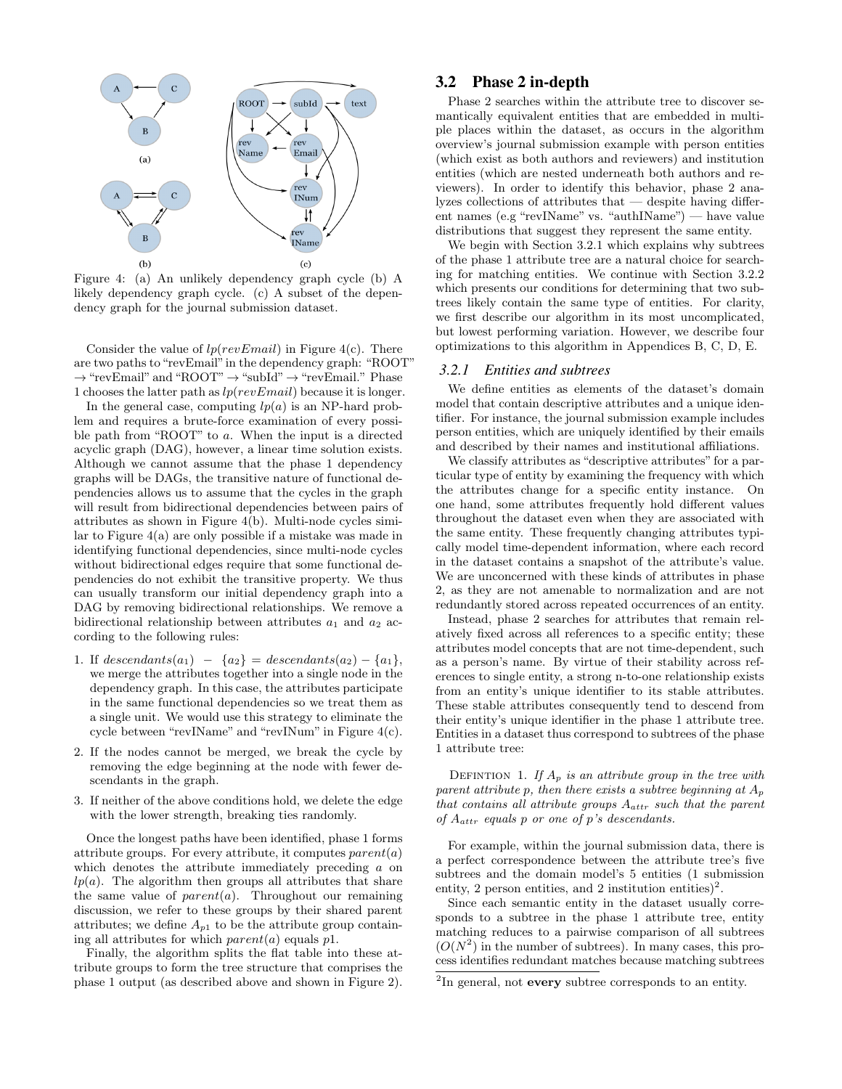

Figure 4: (a) An unlikely dependency graph cycle (b) A likely dependency graph cycle. (c) A subset of the dependency graph for the journal submission dataset.

Consider the value of  $lp(revEmail)$  in Figure 4(c). There are two paths to"revEmail"in the dependency graph: "ROOT"  $\rightarrow$  "revEmail" and "ROOT"  $\rightarrow$  "subId"  $\rightarrow$  "revEmail." Phase 1 chooses the latter path as  $lp(revEmail)$  because it is longer.

In the general case, computing  $lp(a)$  is an NP-hard problem and requires a brute-force examination of every possible path from "ROOT" to a. When the input is a directed acyclic graph (DAG), however, a linear time solution exists. Although we cannot assume that the phase 1 dependency graphs will be DAGs, the transitive nature of functional dependencies allows us to assume that the cycles in the graph will result from bidirectional dependencies between pairs of attributes as shown in Figure 4(b). Multi-node cycles similar to Figure 4(a) are only possible if a mistake was made in identifying functional dependencies, since multi-node cycles without bidirectional edges require that some functional dependencies do not exhibit the transitive property. We thus can usually transform our initial dependency graph into a DAG by removing bidirectional relationships. We remove a bidirectional relationship between attributes  $a_1$  and  $a_2$  according to the following rules:

- 1. If  $descendants(a_1) \{a_2\} = descendants(a_2) \{a_1\},\$ we merge the attributes together into a single node in the dependency graph. In this case, the attributes participate in the same functional dependencies so we treat them as a single unit. We would use this strategy to eliminate the cycle between "revIName" and "revINum" in Figure 4(c).
- 2. If the nodes cannot be merged, we break the cycle by removing the edge beginning at the node with fewer descendants in the graph.
- 3. If neither of the above conditions hold, we delete the edge with the lower strength, breaking ties randomly.

Once the longest paths have been identified, phase 1 forms attribute groups. For every attribute, it computes  $parent(a)$ which denotes the attribute immediately preceding a on  $lp(a)$ . The algorithm then groups all attributes that share the same value of  $parent(a)$ . Throughout our remaining discussion, we refer to these groups by their shared parent attributes; we define  $A_{p1}$  to be the attribute group containing all attributes for which  $parent(a)$  equals p1.

Finally, the algorithm splits the flat table into these attribute groups to form the tree structure that comprises the phase 1 output (as described above and shown in Figure 2).

## 3.2 Phase 2 in-depth

Phase 2 searches within the attribute tree to discover semantically equivalent entities that are embedded in multiple places within the dataset, as occurs in the algorithm overview's journal submission example with person entities (which exist as both authors and reviewers) and institution entities (which are nested underneath both authors and reviewers). In order to identify this behavior, phase 2 analyzes collections of attributes that — despite having different names (e.g "revIName" vs. "authIName") — have value distributions that suggest they represent the same entity.

We begin with Section 3.2.1 which explains why subtrees of the phase 1 attribute tree are a natural choice for searching for matching entities. We continue with Section 3.2.2 which presents our conditions for determining that two subtrees likely contain the same type of entities. For clarity, we first describe our algorithm in its most uncomplicated, but lowest performing variation. However, we describe four optimizations to this algorithm in Appendices B, C, D, E.

#### *3.2.1 Entities and subtrees*

We define entities as elements of the dataset's domain model that contain descriptive attributes and a unique identifier. For instance, the journal submission example includes person entities, which are uniquely identified by their emails and described by their names and institutional affiliations.

We classify attributes as "descriptive attributes" for a particular type of entity by examining the frequency with which the attributes change for a specific entity instance. On one hand, some attributes frequently hold different values throughout the dataset even when they are associated with the same entity. These frequently changing attributes typically model time-dependent information, where each record in the dataset contains a snapshot of the attribute's value. We are unconcerned with these kinds of attributes in phase 2, as they are not amenable to normalization and are not redundantly stored across repeated occurrences of an entity.

Instead, phase 2 searches for attributes that remain relatively fixed across all references to a specific entity; these attributes model concepts that are not time-dependent, such as a person's name. By virtue of their stability across references to single entity, a strong n-to-one relationship exists from an entity's unique identifier to its stable attributes. These stable attributes consequently tend to descend from their entity's unique identifier in the phase 1 attribute tree. Entities in a dataset thus correspond to subtrees of the phase 1 attribute tree:

DEFINTION 1. If  $A_p$  is an attribute group in the tree with parent attribute p, then there exists a subtree beginning at  $A_p$ that contains all attribute groups  $A_{attr}$  such that the parent of  $A_{attr}$  equals p or one of p's descendants.

For example, within the journal submission data, there is a perfect correspondence between the attribute tree's five subtrees and the domain model's 5 entities (1 submission entity, 2 person entities, and 2 institution entities)<sup>2</sup>.

Since each semantic entity in the dataset usually corresponds to a subtree in the phase 1 attribute tree, entity matching reduces to a pairwise comparison of all subtrees  $(O(N^2)$  in the number of subtrees). In many cases, this process identifies redundant matches because matching subtrees

<sup>&</sup>lt;sup>2</sup>In general, not **every** subtree corresponds to an entity.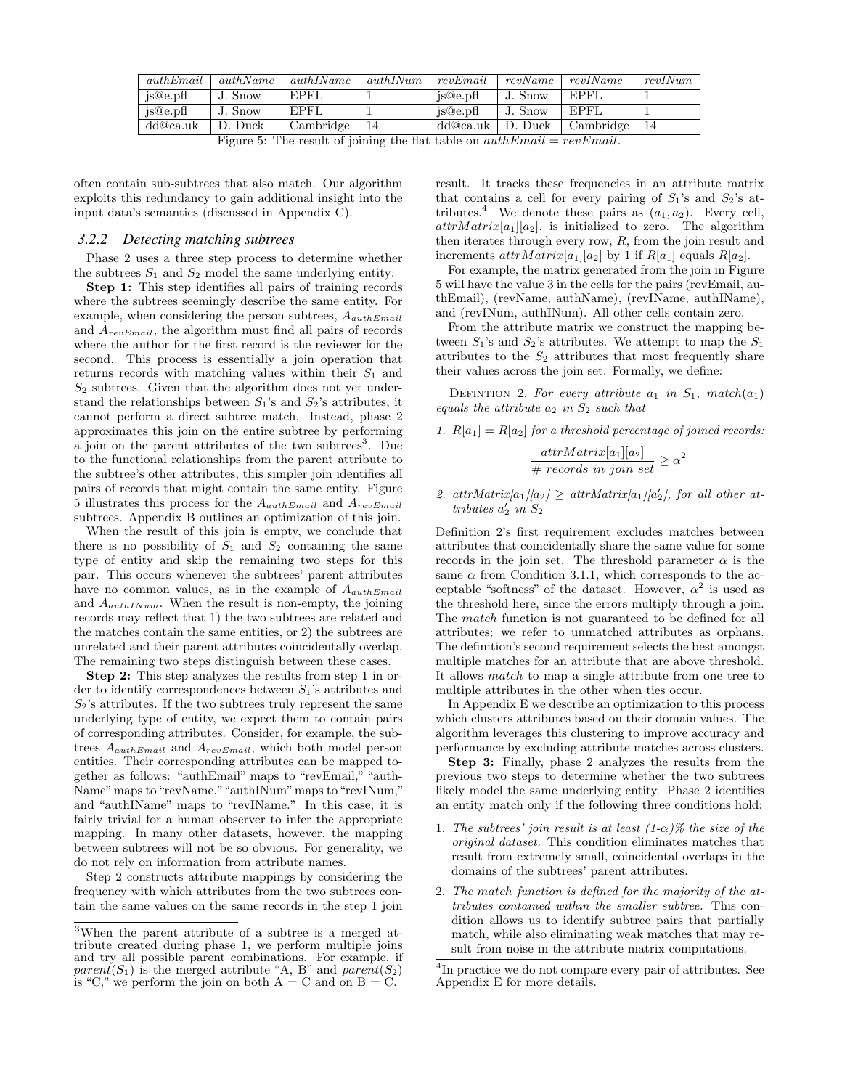| <i>authEmail</i> | <i>authName</i> | <i>authIName</i> | <i>authINum</i> | revEmail | revName | revIName    | revINum |
|------------------|-----------------|------------------|-----------------|----------|---------|-------------|---------|
| is@e.pdf         | J. Snow         | EPFL             |                 | is@e.pfl | J. Snow | <b>EPFL</b> |         |
| is@e.pfl         | J. Snow         | EPFL             |                 | is@e.pfl | J. Snow | EPFL        |         |
| dd@ca.uk         | D. Duck         | Cambridge        |                 | dd@ca.uk | D. Duck | Cambridge   | 14      |

| Figure 5: The result of joining the flat table on $authEmail = revEmail$ . |  |  |  |  |
|----------------------------------------------------------------------------|--|--|--|--|
|----------------------------------------------------------------------------|--|--|--|--|

often contain sub-subtrees that also match. Our algorithm exploits this redundancy to gain additional insight into the input data's semantics (discussed in Appendix C).

#### *3.2.2 Detecting matching subtrees*

Phase 2 uses a three step process to determine whether the subtrees  $S_1$  and  $S_2$  model the same underlying entity:

Step 1: This step identifies all pairs of training records where the subtrees seemingly describe the same entity. For example, when considering the person subtrees,  $A_{authEmail}$ and  $A_{revEmail}$ , the algorithm must find all pairs of records where the author for the first record is the reviewer for the second. This process is essentially a join operation that returns records with matching values within their  $S_1$  and  $S_2$  subtrees. Given that the algorithm does not yet understand the relationships between  $S_1$ 's and  $S_2$ 's attributes, it cannot perform a direct subtree match. Instead, phase 2 approximates this join on the entire subtree by performing a join on the parent attributes of the two subtrees<sup>3</sup>. Due to the functional relationships from the parent attribute to the subtree's other attributes, this simpler join identifies all pairs of records that might contain the same entity. Figure 5 illustrates this process for the  $A_{authEmail}$  and  $A_{revEmail}$ subtrees. Appendix B outlines an optimization of this join.

When the result of this join is empty, we conclude that there is no possibility of  $S_1$  and  $S_2$  containing the same type of entity and skip the remaining two steps for this pair. This occurs whenever the subtrees' parent attributes have no common values, as in the example of  $A_{authEmail}$ and  $A_{authINum}$ . When the result is non-empty, the joining records may reflect that 1) the two subtrees are related and the matches contain the same entities, or 2) the subtrees are unrelated and their parent attributes coincidentally overlap. The remaining two steps distinguish between these cases.

Step 2: This step analyzes the results from step 1 in order to identify correspondences between  $S_1$ 's attributes and  $S_2$ 's attributes. If the two subtrees truly represent the same underlying type of entity, we expect them to contain pairs of corresponding attributes. Consider, for example, the subtrees  $A_{authEmail}$  and  $A_{revEmail}$ , which both model person entities. Their corresponding attributes can be mapped together as follows: "authEmail" maps to "revEmail," "auth-Name" maps to "revName," "authINum" maps to "revINum," and "authIName" maps to "revIName." In this case, it is fairly trivial for a human observer to infer the appropriate mapping. In many other datasets, however, the mapping between subtrees will not be so obvious. For generality, we do not rely on information from attribute names.

Step 2 constructs attribute mappings by considering the frequency with which attributes from the two subtrees contain the same values on the same records in the step 1 join result. It tracks these frequencies in an attribute matrix that contains a cell for every pairing of  $S_1$ 's and  $S_2$ 's attributes.<sup>4</sup> We denote these pairs as  $(a_1, a_2)$ . Every cell,  $attrMatrix[a_1][a_2]$ , is initialized to zero. The algorithm then iterates through every row,  $R$ , from the join result and increments  $attrMatrix[a_1][a_2]$  by 1 if  $R[a_1]$  equals  $R[a_2]$ .

For example, the matrix generated from the join in Figure 5 will have the value 3 in the cells for the pairs (revEmail, authEmail), (revName, authName), (revIName, authIName), and (revINum, authINum). All other cells contain zero.

From the attribute matrix we construct the mapping between  $S_1$ 's and  $S_2$ 's attributes. We attempt to map the  $S_1$ attributes to the  $S_2$  attributes that most frequently share their values across the join set. Formally, we define:

DEFINTION 2. For every attribute  $a_1$  in  $S_1$ , match $(a_1)$ equals the attribute  $a_2$  in  $S_2$  such that

#### 1.  $R[a_1] = R[a_2]$  for a threshold percentage of joined records:

$$
\frac{attrMatrix[a_1][a_2]}{\# records in join set} \ge \alpha^2
$$

2.  $\alpha$ ttr $\text{Matrix}[a_1][a_2] \geq \alpha$ ttr $\text{Matrix}[a_1][a_2']$ , for all other attributes  $a'_2$  in  $S_2$ 

Definition 2's first requirement excludes matches between attributes that coincidentally share the same value for some records in the join set. The threshold parameter  $\alpha$  is the same  $\alpha$  from Condition 3.1.1, which corresponds to the acceptable "softness" of the dataset. However,  $\alpha^2$  is used as the threshold here, since the errors multiply through a join. The match function is not guaranteed to be defined for all attributes; we refer to unmatched attributes as orphans. The definition's second requirement selects the best amongst multiple matches for an attribute that are above threshold. It allows match to map a single attribute from one tree to multiple attributes in the other when ties occur.

In Appendix E we describe an optimization to this process which clusters attributes based on their domain values. The algorithm leverages this clustering to improve accuracy and performance by excluding attribute matches across clusters.

Step 3: Finally, phase 2 analyzes the results from the previous two steps to determine whether the two subtrees likely model the same underlying entity. Phase 2 identifies an entity match only if the following three conditions hold:

- 1. The subtrees' join result is at least  $(1-\alpha)\%$  the size of the original dataset. This condition eliminates matches that result from extremely small, coincidental overlaps in the domains of the subtrees' parent attributes.
- 2. The match function is defined for the majority of the attributes contained within the smaller subtree. This condition allows us to identify subtree pairs that partially match, while also eliminating weak matches that may result from noise in the attribute matrix computations.

<sup>3</sup>When the parent attribute of a subtree is a merged attribute created during phase 1, we perform multiple joins and try all possible parent combinations. For example, if parent(S<sub>1</sub>) is the merged attribute "A, B" and parent(S<sub>2</sub>) is "C," we perform the join on both  $A = C$  and on  $B = C$ .

<sup>&</sup>lt;sup>4</sup>In practice we do not compare every pair of attributes. See Appendix E for more details.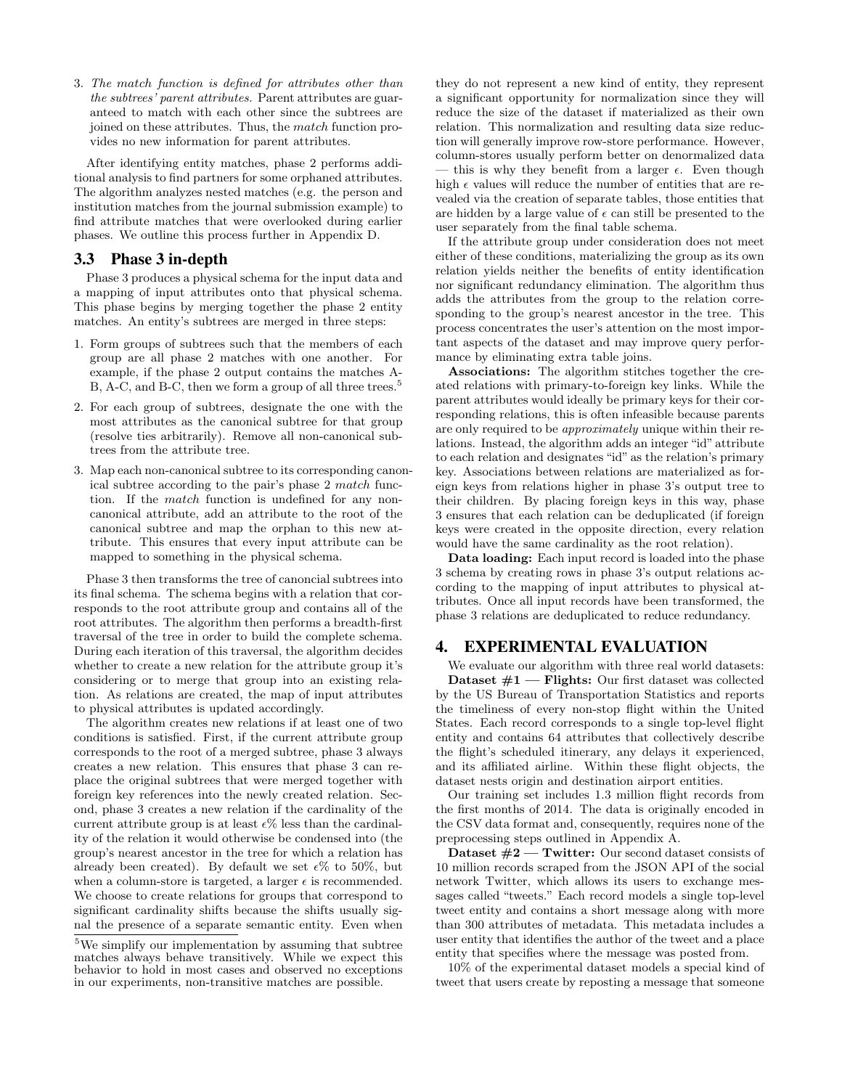3. The match function is defined for attributes other than the subtrees' parent attributes. Parent attributes are guaranteed to match with each other since the subtrees are joined on these attributes. Thus, the match function provides no new information for parent attributes.

After identifying entity matches, phase 2 performs additional analysis to find partners for some orphaned attributes. The algorithm analyzes nested matches (e.g. the person and institution matches from the journal submission example) to find attribute matches that were overlooked during earlier phases. We outline this process further in Appendix D.

## 3.3 Phase 3 in-depth

Phase 3 produces a physical schema for the input data and a mapping of input attributes onto that physical schema. This phase begins by merging together the phase 2 entity matches. An entity's subtrees are merged in three steps:

- 1. Form groups of subtrees such that the members of each group are all phase 2 matches with one another. For example, if the phase 2 output contains the matches A-B, A-C, and B-C, then we form a group of all three trees.<sup>5</sup>
- 2. For each group of subtrees, designate the one with the most attributes as the canonical subtree for that group (resolve ties arbitrarily). Remove all non-canonical subtrees from the attribute tree.
- 3. Map each non-canonical subtree to its corresponding canonical subtree according to the pair's phase 2 match function. If the match function is undefined for any noncanonical attribute, add an attribute to the root of the canonical subtree and map the orphan to this new attribute. This ensures that every input attribute can be mapped to something in the physical schema.

Phase 3 then transforms the tree of canoncial subtrees into its final schema. The schema begins with a relation that corresponds to the root attribute group and contains all of the root attributes. The algorithm then performs a breadth-first traversal of the tree in order to build the complete schema. During each iteration of this traversal, the algorithm decides whether to create a new relation for the attribute group it's considering or to merge that group into an existing relation. As relations are created, the map of input attributes to physical attributes is updated accordingly.

The algorithm creates new relations if at least one of two conditions is satisfied. First, if the current attribute group corresponds to the root of a merged subtree, phase 3 always creates a new relation. This ensures that phase 3 can replace the original subtrees that were merged together with foreign key references into the newly created relation. Second, phase 3 creates a new relation if the cardinality of the current attribute group is at least  $\epsilon\%$  less than the cardinality of the relation it would otherwise be condensed into (the group's nearest ancestor in the tree for which a relation has already been created). By default we set  $\epsilon\%$  to 50%, but when a column-store is targeted, a larger  $\epsilon$  is recommended. We choose to create relations for groups that correspond to significant cardinality shifts because the shifts usually signal the presence of a separate semantic entity. Even when

they do not represent a new kind of entity, they represent a significant opportunity for normalization since they will reduce the size of the dataset if materialized as their own relation. This normalization and resulting data size reduction will generally improve row-store performance. However, column-stores usually perform better on denormalized data — this is why they benefit from a larger  $\epsilon$ . Even though high  $\epsilon$  values will reduce the number of entities that are revealed via the creation of separate tables, those entities that are hidden by a large value of  $\epsilon$  can still be presented to the user separately from the final table schema.

If the attribute group under consideration does not meet either of these conditions, materializing the group as its own relation yields neither the benefits of entity identification nor significant redundancy elimination. The algorithm thus adds the attributes from the group to the relation corresponding to the group's nearest ancestor in the tree. This process concentrates the user's attention on the most important aspects of the dataset and may improve query performance by eliminating extra table joins.

Associations: The algorithm stitches together the created relations with primary-to-foreign key links. While the parent attributes would ideally be primary keys for their corresponding relations, this is often infeasible because parents are only required to be approximately unique within their relations. Instead, the algorithm adds an integer "id" attribute to each relation and designates "id" as the relation's primary key. Associations between relations are materialized as foreign keys from relations higher in phase 3's output tree to their children. By placing foreign keys in this way, phase 3 ensures that each relation can be deduplicated (if foreign keys were created in the opposite direction, every relation would have the same cardinality as the root relation).

Data loading: Each input record is loaded into the phase 3 schema by creating rows in phase 3's output relations according to the mapping of input attributes to physical attributes. Once all input records have been transformed, the phase 3 relations are deduplicated to reduce redundancy.

## 4. EXPERIMENTAL EVALUATION

We evaluate our algorithm with three real world datasets: Dataset #1 — Flights: Our first dataset was collected by the US Bureau of Transportation Statistics and reports the timeliness of every non-stop flight within the United States. Each record corresponds to a single top-level flight entity and contains 64 attributes that collectively describe the flight's scheduled itinerary, any delays it experienced, and its affiliated airline. Within these flight objects, the dataset nests origin and destination airport entities.

Our training set includes 1.3 million flight records from the first months of 2014. The data is originally encoded in the CSV data format and, consequently, requires none of the preprocessing steps outlined in Appendix A.

Dataset  $#2$  — Twitter: Our second dataset consists of 10 million records scraped from the JSON API of the social network Twitter, which allows its users to exchange messages called "tweets." Each record models a single top-level tweet entity and contains a short message along with more than 300 attributes of metadata. This metadata includes a user entity that identifies the author of the tweet and a place entity that specifies where the message was posted from.

10% of the experimental dataset models a special kind of tweet that users create by reposting a message that someone

 $^{5}\mathrm{We}$  simplify our implementation by assuming that subtree matches always behave transitively. While we expect this behavior to hold in most cases and observed no exceptions in our experiments, non-transitive matches are possible.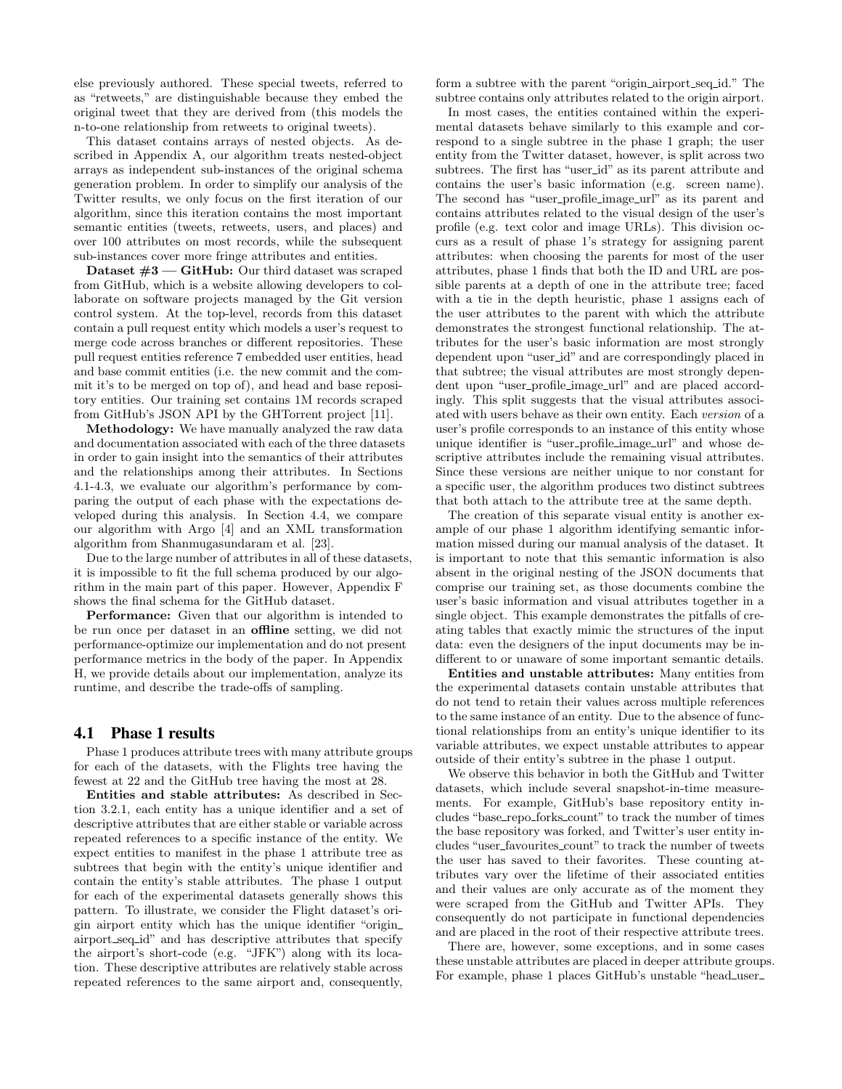else previously authored. These special tweets, referred to as "retweets," are distinguishable because they embed the original tweet that they are derived from (this models the n-to-one relationship from retweets to original tweets).

This dataset contains arrays of nested objects. As described in Appendix A, our algorithm treats nested-object arrays as independent sub-instances of the original schema generation problem. In order to simplify our analysis of the Twitter results, we only focus on the first iteration of our algorithm, since this iteration contains the most important semantic entities (tweets, retweets, users, and places) and over 100 attributes on most records, while the subsequent sub-instances cover more fringe attributes and entities.

Dataset  $#3$  — GitHub: Our third dataset was scraped from GitHub, which is a website allowing developers to collaborate on software projects managed by the Git version control system. At the top-level, records from this dataset contain a pull request entity which models a user's request to merge code across branches or different repositories. These pull request entities reference 7 embedded user entities, head and base commit entities (i.e. the new commit and the commit it's to be merged on top of), and head and base repository entities. Our training set contains 1M records scraped from GitHub's JSON API by the GHTorrent project [11].

Methodology: We have manually analyzed the raw data and documentation associated with each of the three datasets in order to gain insight into the semantics of their attributes and the relationships among their attributes. In Sections 4.1-4.3, we evaluate our algorithm's performance by comparing the output of each phase with the expectations developed during this analysis. In Section 4.4, we compare our algorithm with Argo [4] and an XML transformation algorithm from Shanmugasundaram et al. [23].

Due to the large number of attributes in all of these datasets, it is impossible to fit the full schema produced by our algorithm in the main part of this paper. However, Appendix F shows the final schema for the GitHub dataset.

Performance: Given that our algorithm is intended to be run once per dataset in an offline setting, we did not performance-optimize our implementation and do not present performance metrics in the body of the paper. In Appendix H, we provide details about our implementation, analyze its runtime, and describe the trade-offs of sampling.

#### 4.1 Phase 1 results

Phase 1 produces attribute trees with many attribute groups for each of the datasets, with the Flights tree having the fewest at 22 and the GitHub tree having the most at 28.

Entities and stable attributes: As described in Section 3.2.1, each entity has a unique identifier and a set of descriptive attributes that are either stable or variable across repeated references to a specific instance of the entity. We expect entities to manifest in the phase 1 attribute tree as subtrees that begin with the entity's unique identifier and contain the entity's stable attributes. The phase 1 output for each of the experimental datasets generally shows this pattern. To illustrate, we consider the Flight dataset's origin airport entity which has the unique identifier "origin airport seq id" and has descriptive attributes that specify the airport's short-code (e.g. "JFK") along with its location. These descriptive attributes are relatively stable across repeated references to the same airport and, consequently,

form a subtree with the parent "origin airport seq id." The subtree contains only attributes related to the origin airport.

In most cases, the entities contained within the experimental datasets behave similarly to this example and correspond to a single subtree in the phase 1 graph; the user entity from the Twitter dataset, however, is split across two subtrees. The first has "user id" as its parent attribute and contains the user's basic information (e.g. screen name). The second has "user profile image url" as its parent and contains attributes related to the visual design of the user's profile (e.g. text color and image URLs). This division occurs as a result of phase 1's strategy for assigning parent attributes: when choosing the parents for most of the user attributes, phase 1 finds that both the ID and URL are possible parents at a depth of one in the attribute tree; faced with a tie in the depth heuristic, phase 1 assigns each of the user attributes to the parent with which the attribute demonstrates the strongest functional relationship. The attributes for the user's basic information are most strongly dependent upon "user id" and are correspondingly placed in that subtree; the visual attributes are most strongly dependent upon "user profile image url" and are placed accordingly. This split suggests that the visual attributes associated with users behave as their own entity. Each version of a user's profile corresponds to an instance of this entity whose unique identifier is "user\_profile\_image\_url" and whose descriptive attributes include the remaining visual attributes. Since these versions are neither unique to nor constant for a specific user, the algorithm produces two distinct subtrees that both attach to the attribute tree at the same depth.

The creation of this separate visual entity is another example of our phase 1 algorithm identifying semantic information missed during our manual analysis of the dataset. It is important to note that this semantic information is also absent in the original nesting of the JSON documents that comprise our training set, as those documents combine the user's basic information and visual attributes together in a single object. This example demonstrates the pitfalls of creating tables that exactly mimic the structures of the input data: even the designers of the input documents may be indifferent to or unaware of some important semantic details.

Entities and unstable attributes: Many entities from the experimental datasets contain unstable attributes that do not tend to retain their values across multiple references to the same instance of an entity. Due to the absence of functional relationships from an entity's unique identifier to its variable attributes, we expect unstable attributes to appear outside of their entity's subtree in the phase 1 output.

We observe this behavior in both the GitHub and Twitter datasets, which include several snapshot-in-time measurements. For example, GitHub's base repository entity includes "base repo forks count" to track the number of times the base repository was forked, and Twitter's user entity includes "user favourites count" to track the number of tweets the user has saved to their favorites. These counting attributes vary over the lifetime of their associated entities and their values are only accurate as of the moment they were scraped from the GitHub and Twitter APIs. They consequently do not participate in functional dependencies and are placed in the root of their respective attribute trees.

There are, however, some exceptions, and in some cases these unstable attributes are placed in deeper attribute groups. For example, phase 1 places GitHub's unstable "head\_user\_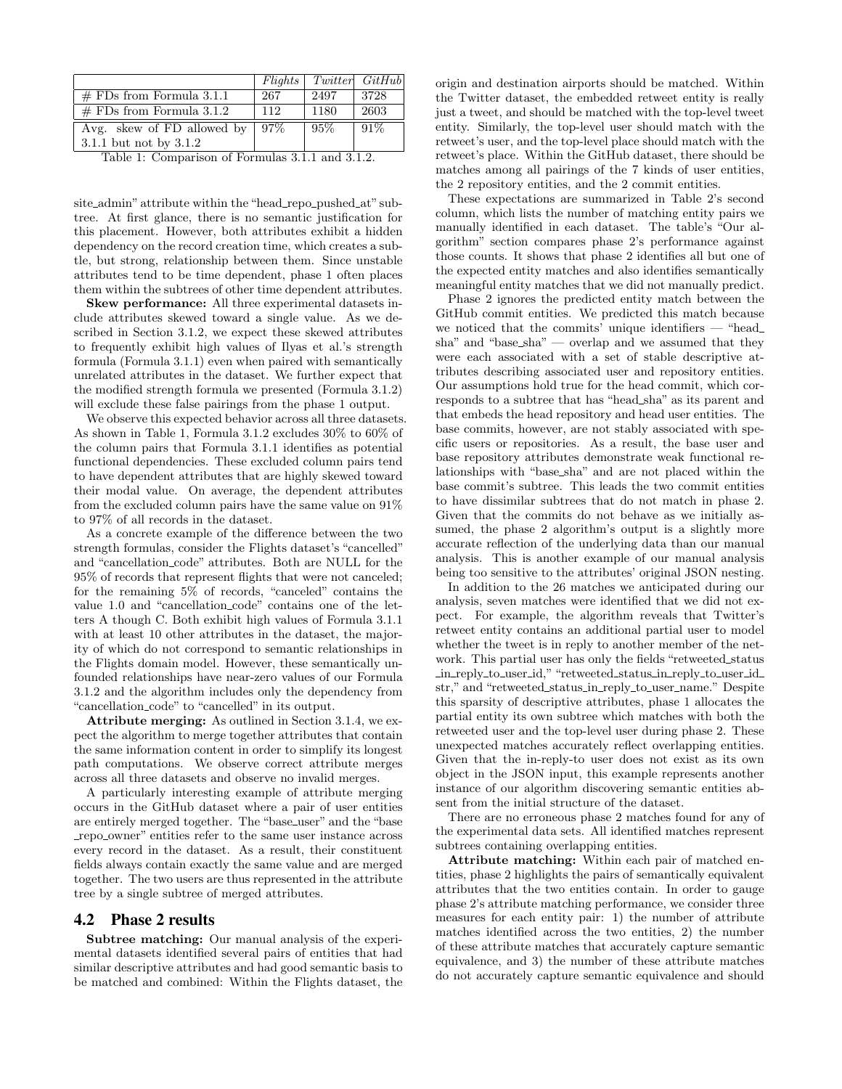|                            |        | Flights   Twitter GitHub |        |
|----------------------------|--------|--------------------------|--------|
| $#$ FDs from Formula 3.1.1 | 267    | 2497                     | 3728   |
| $#$ FDs from Formula 3.1.2 | 112    | 1180                     | 2603   |
| Avg. skew of FD allowed by | $97\%$ | $95\%$                   | $91\%$ |
| 3.1.1 but not by $3.1.2$   |        |                          |        |

Table 1: Comparison of Formulas 3.1.1 and 3.1.2.

site\_admin" attribute within the "head\_repo\_pushed\_at" subtree. At first glance, there is no semantic justification for this placement. However, both attributes exhibit a hidden dependency on the record creation time, which creates a subtle, but strong, relationship between them. Since unstable attributes tend to be time dependent, phase 1 often places them within the subtrees of other time dependent attributes.

Skew performance: All three experimental datasets include attributes skewed toward a single value. As we described in Section 3.1.2, we expect these skewed attributes to frequently exhibit high values of Ilyas et al.'s strength formula (Formula 3.1.1) even when paired with semantically unrelated attributes in the dataset. We further expect that the modified strength formula we presented (Formula 3.1.2) will exclude these false pairings from the phase 1 output.

We observe this expected behavior across all three datasets. As shown in Table 1, Formula 3.1.2 excludes 30% to 60% of the column pairs that Formula 3.1.1 identifies as potential functional dependencies. These excluded column pairs tend to have dependent attributes that are highly skewed toward their modal value. On average, the dependent attributes from the excluded column pairs have the same value on 91% to 97% of all records in the dataset.

As a concrete example of the difference between the two strength formulas, consider the Flights dataset's "cancelled" and "cancellation code" attributes. Both are NULL for the 95% of records that represent flights that were not canceled; for the remaining 5% of records, "canceled" contains the value 1.0 and "cancellation code" contains one of the letters A though C. Both exhibit high values of Formula 3.1.1 with at least 10 other attributes in the dataset, the majority of which do not correspond to semantic relationships in the Flights domain model. However, these semantically unfounded relationships have near-zero values of our Formula 3.1.2 and the algorithm includes only the dependency from "cancellation code" to "cancelled" in its output.

Attribute merging: As outlined in Section 3.1.4, we expect the algorithm to merge together attributes that contain the same information content in order to simplify its longest path computations. We observe correct attribute merges across all three datasets and observe no invalid merges.

A particularly interesting example of attribute merging occurs in the GitHub dataset where a pair of user entities are entirely merged together. The "base user" and the "base repo owner" entities refer to the same user instance across every record in the dataset. As a result, their constituent fields always contain exactly the same value and are merged together. The two users are thus represented in the attribute tree by a single subtree of merged attributes.

#### 4.2 Phase 2 results

Subtree matching: Our manual analysis of the experimental datasets identified several pairs of entities that had similar descriptive attributes and had good semantic basis to be matched and combined: Within the Flights dataset, the origin and destination airports should be matched. Within the Twitter dataset, the embedded retweet entity is really just a tweet, and should be matched with the top-level tweet entity. Similarly, the top-level user should match with the retweet's user, and the top-level place should match with the retweet's place. Within the GitHub dataset, there should be matches among all pairings of the 7 kinds of user entities, the 2 repository entities, and the 2 commit entities.

These expectations are summarized in Table 2's second column, which lists the number of matching entity pairs we manually identified in each dataset. The table's "Our algorithm" section compares phase 2's performance against those counts. It shows that phase 2 identifies all but one of the expected entity matches and also identifies semantically meaningful entity matches that we did not manually predict.

Phase 2 ignores the predicted entity match between the GitHub commit entities. We predicted this match because we noticed that the commits' unique identifiers — "head sha" and "base\_sha" — overlap and we assumed that they were each associated with a set of stable descriptive attributes describing associated user and repository entities. Our assumptions hold true for the head commit, which corresponds to a subtree that has "head sha" as its parent and that embeds the head repository and head user entities. The base commits, however, are not stably associated with specific users or repositories. As a result, the base user and base repository attributes demonstrate weak functional relationships with "base sha" and are not placed within the base commit's subtree. This leads the two commit entities to have dissimilar subtrees that do not match in phase 2. Given that the commits do not behave as we initially assumed, the phase 2 algorithm's output is a slightly more accurate reflection of the underlying data than our manual analysis. This is another example of our manual analysis being too sensitive to the attributes' original JSON nesting.

In addition to the 26 matches we anticipated during our analysis, seven matches were identified that we did not expect. For example, the algorithm reveals that Twitter's retweet entity contains an additional partial user to model whether the tweet is in reply to another member of the network. This partial user has only the fields "retweeted status in reply to user id," "retweeted status in reply to user id str," and "retweeted status in reply to user name." Despite this sparsity of descriptive attributes, phase 1 allocates the partial entity its own subtree which matches with both the retweeted user and the top-level user during phase 2. These unexpected matches accurately reflect overlapping entities. Given that the in-reply-to user does not exist as its own object in the JSON input, this example represents another instance of our algorithm discovering semantic entities absent from the initial structure of the dataset.

There are no erroneous phase 2 matches found for any of the experimental data sets. All identified matches represent subtrees containing overlapping entities.

Attribute matching: Within each pair of matched entities, phase 2 highlights the pairs of semantically equivalent attributes that the two entities contain. In order to gauge phase 2's attribute matching performance, we consider three measures for each entity pair: 1) the number of attribute matches identified across the two entities, 2) the number of these attribute matches that accurately capture semantic equivalence, and 3) the number of these attribute matches do not accurately capture semantic equivalence and should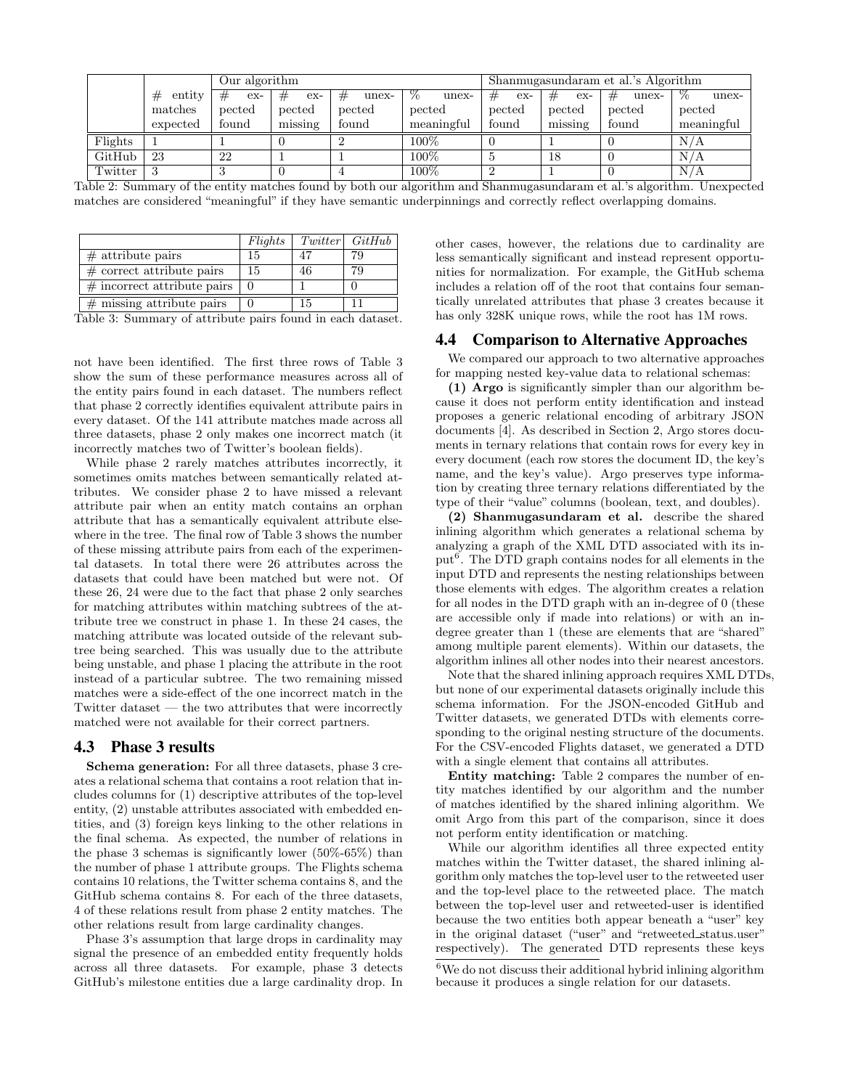|         |             |            | Our algorithm |            |               |            | Shanmugasundaram et al.'s Algorithm |            |            |  |
|---------|-------------|------------|---------------|------------|---------------|------------|-------------------------------------|------------|------------|--|
|         | #<br>entity | $ex-$<br># | #<br>$ex-$    | unex-<br># | $\%$<br>unex- | #<br>$ex-$ | #<br>$ex-$                          | ┹<br>unex- | %<br>unex- |  |
|         | matches     | pected     | pected        | pected     | pected        | pected     | pected                              | pected     | pected     |  |
|         | expected    | found      | missing       | found      | meaningful    | found      | missing                             | found      | meaningful |  |
| Flights |             |            |               |            | $100\%$       |            |                                     |            | N/A        |  |
| GitHub  | 23          | 22         |               |            | $100\%$       |            | 18                                  |            | N/A        |  |
| Twitter |             | -e J       |               |            | $100\%$       |            |                                     |            | N/A        |  |

Table 2: Summary of the entity matches found by both our algorithm and Shanmugasundaram et al.'s algorithm. Unexpected matches are considered "meaningful" if they have semantic underpinnings and correctly reflect overlapping domains.

|                                | Flights | Twitter | GitHub |
|--------------------------------|---------|---------|--------|
| $\#$ attribute pairs           | 15      |         | 79     |
| $\#$ correct attribute pairs   | 15      | 46      | 79     |
| $\#$ incorrect attribute pairs |         |         |        |
| $#$ missing attribute pairs    |         | 15      |        |

Table 3: Summary of attribute pairs found in each dataset.

not have been identified. The first three rows of Table 3 show the sum of these performance measures across all of the entity pairs found in each dataset. The numbers reflect that phase 2 correctly identifies equivalent attribute pairs in every dataset. Of the 141 attribute matches made across all three datasets, phase 2 only makes one incorrect match (it incorrectly matches two of Twitter's boolean fields).

While phase 2 rarely matches attributes incorrectly, it sometimes omits matches between semantically related attributes. We consider phase 2 to have missed a relevant attribute pair when an entity match contains an orphan attribute that has a semantically equivalent attribute elsewhere in the tree. The final row of Table 3 shows the number of these missing attribute pairs from each of the experimental datasets. In total there were 26 attributes across the datasets that could have been matched but were not. Of these 26, 24 were due to the fact that phase 2 only searches for matching attributes within matching subtrees of the attribute tree we construct in phase 1. In these 24 cases, the matching attribute was located outside of the relevant subtree being searched. This was usually due to the attribute being unstable, and phase 1 placing the attribute in the root instead of a particular subtree. The two remaining missed matches were a side-effect of the one incorrect match in the Twitter dataset — the two attributes that were incorrectly matched were not available for their correct partners.

## 4.3 Phase 3 results

Schema generation: For all three datasets, phase 3 creates a relational schema that contains a root relation that includes columns for (1) descriptive attributes of the top-level entity, (2) unstable attributes associated with embedded entities, and (3) foreign keys linking to the other relations in the final schema. As expected, the number of relations in the phase 3 schemas is significantly lower (50%-65%) than the number of phase 1 attribute groups. The Flights schema contains 10 relations, the Twitter schema contains 8, and the GitHub schema contains 8. For each of the three datasets, 4 of these relations result from phase 2 entity matches. The other relations result from large cardinality changes.

Phase 3's assumption that large drops in cardinality may signal the presence of an embedded entity frequently holds across all three datasets. For example, phase 3 detects GitHub's milestone entities due a large cardinality drop. In other cases, however, the relations due to cardinality are less semantically significant and instead represent opportunities for normalization. For example, the GitHub schema includes a relation off of the root that contains four semantically unrelated attributes that phase 3 creates because it has only 328K unique rows, while the root has 1M rows.

## 4.4 Comparison to Alternative Approaches

We compared our approach to two alternative approaches for mapping nested key-value data to relational schemas:

(1) Argo is significantly simpler than our algorithm because it does not perform entity identification and instead proposes a generic relational encoding of arbitrary JSON documents [4]. As described in Section 2, Argo stores documents in ternary relations that contain rows for every key in every document (each row stores the document ID, the key's name, and the key's value). Argo preserves type information by creating three ternary relations differentiated by the type of their "value" columns (boolean, text, and doubles).

(2) Shanmugasundaram et al. describe the shared inlining algorithm which generates a relational schema by analyzing a graph of the XML DTD associated with its input<sup>6</sup>. The DTD graph contains nodes for all elements in the input DTD and represents the nesting relationships between those elements with edges. The algorithm creates a relation for all nodes in the DTD graph with an in-degree of 0 (these are accessible only if made into relations) or with an indegree greater than 1 (these are elements that are "shared" among multiple parent elements). Within our datasets, the algorithm inlines all other nodes into their nearest ancestors.

Note that the shared inlining approach requires XML DTDs, but none of our experimental datasets originally include this schema information. For the JSON-encoded GitHub and Twitter datasets, we generated DTDs with elements corresponding to the original nesting structure of the documents. For the CSV-encoded Flights dataset, we generated a DTD with a single element that contains all attributes.

Entity matching: Table 2 compares the number of entity matches identified by our algorithm and the number of matches identified by the shared inlining algorithm. We omit Argo from this part of the comparison, since it does not perform entity identification or matching.

While our algorithm identifies all three expected entity matches within the Twitter dataset, the shared inlining algorithm only matches the top-level user to the retweeted user and the top-level place to the retweeted place. The match between the top-level user and retweeted-user is identified because the two entities both appear beneath a "user" key in the original dataset ("user" and "retweeted\_status.user" respectively). The generated DTD represents these keys

 $6$ We do not discuss their additional hybrid inlining algorithm because it produces a single relation for our datasets.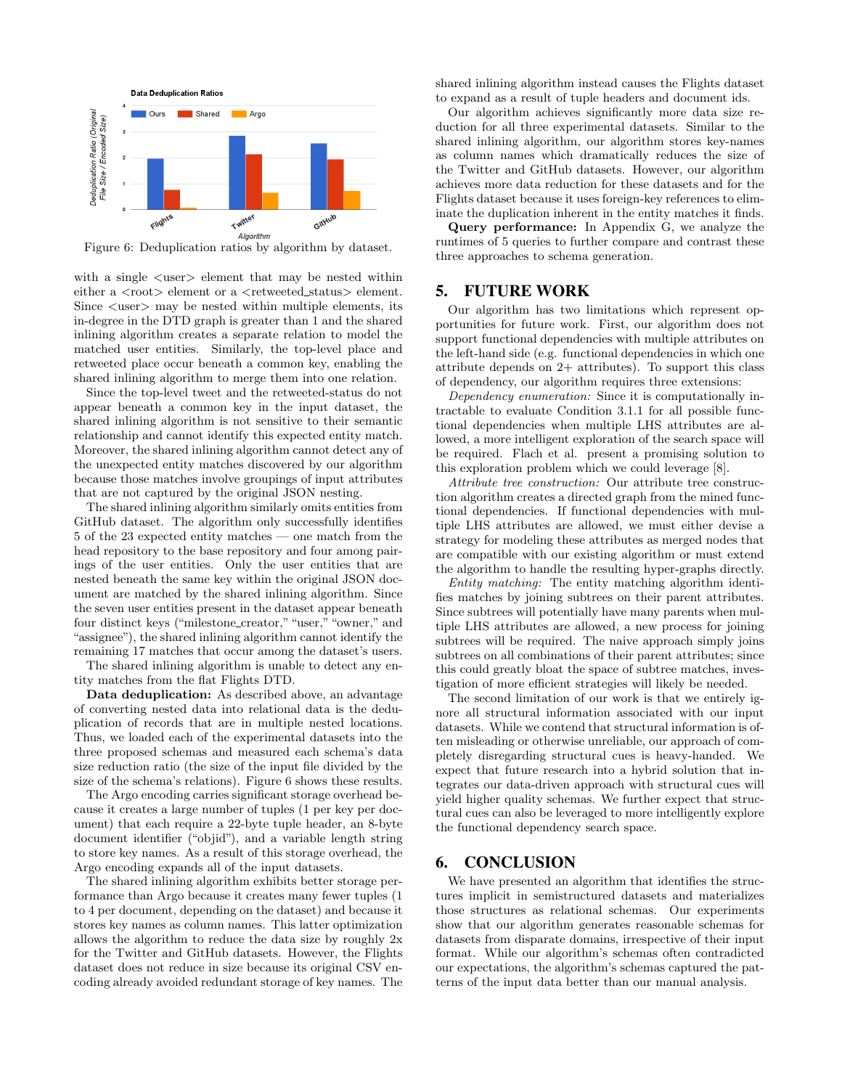

Figure 6: Deduplication ratios by algorithm by dataset.

with a single  $\langle$ user $\rangle$  element that may be nested within either a  $\langle \text{root}\rangle$  element or a  $\langle \text{retweeted\_status}\rangle$  element. Since  $\langle$ user $\rangle$  may be nested within multiple elements, its in-degree in the DTD graph is greater than 1 and the shared inlining algorithm creates a separate relation to model the matched user entities. Similarly, the top-level place and retweeted place occur beneath a common key, enabling the shared inlining algorithm to merge them into one relation.

Since the top-level tweet and the retweeted-status do not appear beneath a common key in the input dataset, the shared inlining algorithm is not sensitive to their semantic relationship and cannot identify this expected entity match. Moreover, the shared inlining algorithm cannot detect any of the unexpected entity matches discovered by our algorithm because those matches involve groupings of input attributes that are not captured by the original JSON nesting.

The shared inlining algorithm similarly omits entities from GitHub dataset. The algorithm only successfully identifies 5 of the 23 expected entity matches — one match from the head repository to the base repository and four among pairings of the user entities. Only the user entities that are nested beneath the same key within the original JSON document are matched by the shared inlining algorithm. Since the seven user entities present in the dataset appear beneath four distinct keys ("milestone\_creator," "user," "owner," and "assignee"), the shared inlining algorithm cannot identify the remaining 17 matches that occur among the dataset's users.

The shared inlining algorithm is unable to detect any entity matches from the flat Flights DTD.

Data deduplication: As described above, an advantage of converting nested data into relational data is the deduplication of records that are in multiple nested locations. Thus, we loaded each of the experimental datasets into the three proposed schemas and measured each schema's data size reduction ratio (the size of the input file divided by the size of the schema's relations). Figure 6 shows these results.

The Argo encoding carries significant storage overhead because it creates a large number of tuples (1 per key per document) that each require a 22-byte tuple header, an 8-byte document identifier ("objid"), and a variable length string to store key names. As a result of this storage overhead, the Argo encoding expands all of the input datasets.

The shared inlining algorithm exhibits better storage performance than Argo because it creates many fewer tuples (1 to 4 per document, depending on the dataset) and because it stores key names as column names. This latter optimization allows the algorithm to reduce the data size by roughly 2x for the Twitter and GitHub datasets. However, the Flights dataset does not reduce in size because its original CSV encoding already avoided redundant storage of key names. The shared inlining algorithm instead causes the Flights dataset to expand as a result of tuple headers and document ids.

Our algorithm achieves significantly more data size reduction for all three experimental datasets. Similar to the shared inlining algorithm, our algorithm stores key-names as column names which dramatically reduces the size of the Twitter and GitHub datasets. However, our algorithm achieves more data reduction for these datasets and for the Flights dataset because it uses foreign-key references to eliminate the duplication inherent in the entity matches it finds.

Query performance: In Appendix G, we analyze the runtimes of 5 queries to further compare and contrast these three approaches to schema generation.

## 5. FUTURE WORK

Our algorithm has two limitations which represent opportunities for future work. First, our algorithm does not support functional dependencies with multiple attributes on the left-hand side (e.g. functional dependencies in which one attribute depends on 2+ attributes). To support this class of dependency, our algorithm requires three extensions:

Dependency enumeration: Since it is computationally intractable to evaluate Condition 3.1.1 for all possible functional dependencies when multiple LHS attributes are allowed, a more intelligent exploration of the search space will be required. Flach et al. present a promising solution to this exploration problem which we could leverage [8].

Attribute tree construction: Our attribute tree construction algorithm creates a directed graph from the mined functional dependencies. If functional dependencies with multiple LHS attributes are allowed, we must either devise a strategy for modeling these attributes as merged nodes that are compatible with our existing algorithm or must extend the algorithm to handle the resulting hyper-graphs directly.

Entity matching: The entity matching algorithm identifies matches by joining subtrees on their parent attributes. Since subtrees will potentially have many parents when multiple LHS attributes are allowed, a new process for joining subtrees will be required. The naive approach simply joins subtrees on all combinations of their parent attributes; since this could greatly bloat the space of subtree matches, investigation of more efficient strategies will likely be needed.

The second limitation of our work is that we entirely ignore all structural information associated with our input datasets. While we contend that structural information is often misleading or otherwise unreliable, our approach of completely disregarding structural cues is heavy-handed. We expect that future research into a hybrid solution that integrates our data-driven approach with structural cues will yield higher quality schemas. We further expect that structural cues can also be leveraged to more intelligently explore the functional dependency search space.

# 6. CONCLUSION

We have presented an algorithm that identifies the structures implicit in semistructured datasets and materializes those structures as relational schemas. Our experiments show that our algorithm generates reasonable schemas for datasets from disparate domains, irrespective of their input format. While our algorithm's schemas often contradicted our expectations, the algorithm's schemas captured the patterns of the input data better than our manual analysis.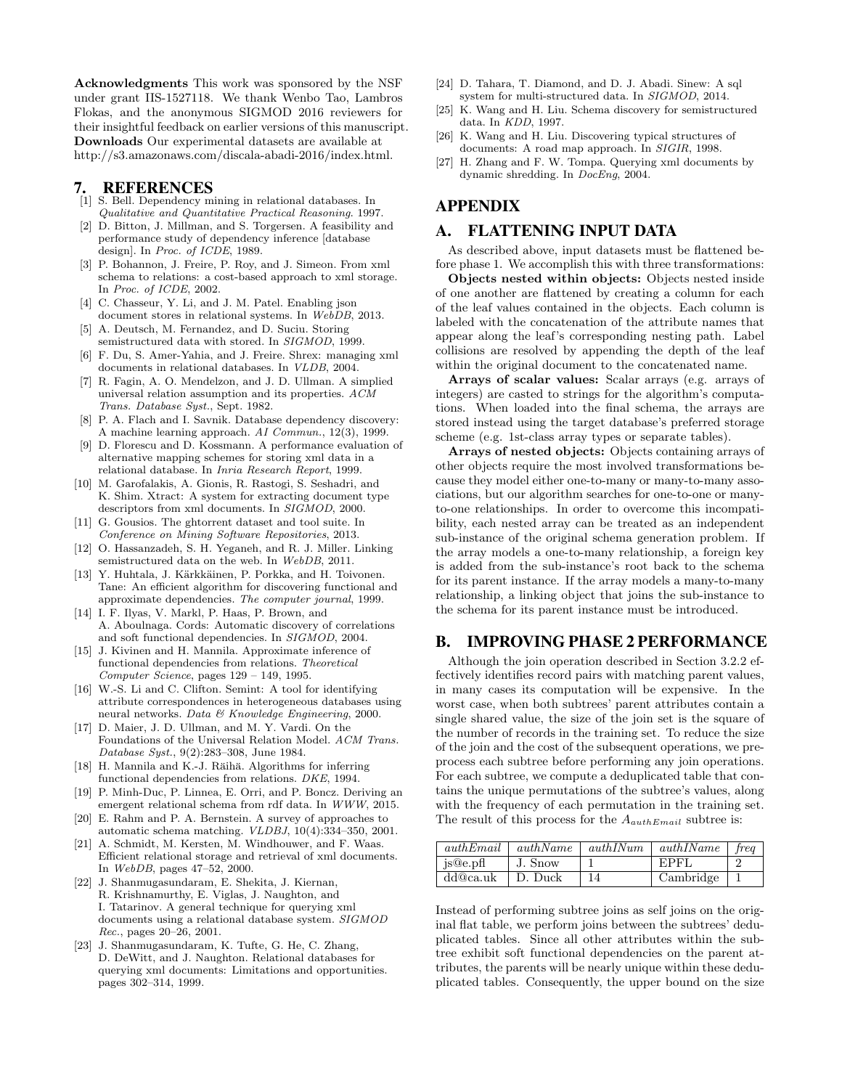Acknowledgments This work was sponsored by the NSF under grant IIS-1527118. We thank Wenbo Tao, Lambros Flokas, and the anonymous SIGMOD 2016 reviewers for their insightful feedback on earlier versions of this manuscript. Downloads Our experimental datasets are available at http://s3.amazonaws.com/discala-abadi-2016/index.html.

#### 7. REFERENCES

- [1] S. Bell. Dependency mining in relational databases. In Qualitative and Quantitative Practical Reasoning. 1997.
- [2] D. Bitton, J. Millman, and S. Torgersen. A feasibility and performance study of dependency inference [database design]. In Proc. of ICDE, 1989.
- [3] P. Bohannon, J. Freire, P. Roy, and J. Simeon. From xml schema to relations: a cost-based approach to xml storage. In Proc. of ICDE, 2002.
- [4] C. Chasseur, Y. Li, and J. M. Patel. Enabling json document stores in relational systems. In WebDB, 2013.
- [5] A. Deutsch, M. Fernandez, and D. Suciu. Storing semistructured data with stored. In SIGMOD, 1999.
- [6] F. Du, S. Amer-Yahia, and J. Freire. Shrex: managing xml documents in relational databases. In VLDB, 2004.
- [7] R. Fagin, A. O. Mendelzon, and J. D. Ullman. A simplied universal relation assumption and its properties. ACM Trans. Database Syst., Sept. 1982.
- [8] P. A. Flach and I. Savnik. Database dependency discovery: A machine learning approach. AI Commun., 12(3), 1999.
- [9] D. Florescu and D. Kossmann. A performance evaluation of alternative mapping schemes for storing xml data in a relational database. In Inria Research Report, 1999.
- [10] M. Garofalakis, A. Gionis, R. Rastogi, S. Seshadri, and K. Shim. Xtract: A system for extracting document type descriptors from xml documents. In SIGMOD, 2000.
- [11] G. Gousios. The ghtorrent dataset and tool suite. In Conference on Mining Software Repositories, 2013.
- [12] O. Hassanzadeh, S. H. Yeganeh, and R. J. Miller. Linking semistructured data on the web. In WebDB, 2011.
- [13] Y. Huhtala, J. Kärkkäinen, P. Porkka, and H. Toivonen. Tane: An efficient algorithm for discovering functional and approximate dependencies. The computer journal, 1999.
- [14] I. F. Ilyas, V. Markl, P. Haas, P. Brown, and A. Aboulnaga. Cords: Automatic discovery of correlations and soft functional dependencies. In SIGMOD, 2004.
- [15] J. Kivinen and H. Mannila. Approximate inference of functional dependencies from relations. Theoretical Computer Science, pages 129 – 149, 1995.
- [16] W.-S. Li and C. Clifton. Semint: A tool for identifying attribute correspondences in heterogeneous databases using neural networks. Data & Knowledge Engineering, 2000.
- [17] D. Maier, J. D. Ullman, and M. Y. Vardi. On the Foundations of the Universal Relation Model. ACM Trans. Database Syst., 9(2):283–308, June 1984.
- [18] H. Mannila and K.-J. Räihä. Algorithms for inferring functional dependencies from relations. DKE, 1994.
- [19] P. Minh-Duc, P. Linnea, E. Orri, and P. Boncz. Deriving an emergent relational schema from rdf data. In WWW, 2015.
- [20] E. Rahm and P. A. Bernstein. A survey of approaches to automatic schema matching. VLDBJ, 10(4):334–350, 2001.
- [21] A. Schmidt, M. Kersten, M. Windhouwer, and F. Waas. Efficient relational storage and retrieval of xml documents. In WebDB, pages 47–52, 2000.
- [22] J. Shanmugasundaram, E. Shekita, J. Kiernan, R. Krishnamurthy, E. Viglas, J. Naughton, and I. Tatarinov. A general technique for querying xml documents using a relational database system. SIGMOD Rec., pages 20–26, 2001.
- [23] J. Shanmugasundaram, K. Tufte, G. He, C. Zhang, D. DeWitt, and J. Naughton. Relational databases for querying xml documents: Limitations and opportunities. pages 302–314, 1999.
- [24] D. Tahara, T. Diamond, and D. J. Abadi. Sinew: A sql system for multi-structured data. In SIGMOD, 2014.
- [25] K. Wang and H. Liu. Schema discovery for semistructured data. In KDD, 1997.
- [26] K. Wang and H. Liu. Discovering typical structures of documents: A road map approach. In SIGIR, 1998.
- [27] H. Zhang and F. W. Tompa. Querying xml documents by dynamic shredding. In DocEng, 2004.

# APPENDIX

# A. FLATTENING INPUT DATA

As described above, input datasets must be flattened before phase 1. We accomplish this with three transformations:

Objects nested within objects: Objects nested inside of one another are flattened by creating a column for each of the leaf values contained in the objects. Each column is labeled with the concatenation of the attribute names that appear along the leaf's corresponding nesting path. Label collisions are resolved by appending the depth of the leaf within the original document to the concatenated name.

Arrays of scalar values: Scalar arrays (e.g. arrays of integers) are casted to strings for the algorithm's computations. When loaded into the final schema, the arrays are stored instead using the target database's preferred storage scheme (e.g. 1st-class array types or separate tables).

Arrays of nested objects: Objects containing arrays of other objects require the most involved transformations because they model either one-to-many or many-to-many associations, but our algorithm searches for one-to-one or manyto-one relationships. In order to overcome this incompatibility, each nested array can be treated as an independent sub-instance of the original schema generation problem. If the array models a one-to-many relationship, a foreign key is added from the sub-instance's root back to the schema for its parent instance. If the array models a many-to-many relationship, a linking object that joins the sub-instance to the schema for its parent instance must be introduced.

## B. IMPROVING PHASE 2 PERFORMANCE

Although the join operation described in Section 3.2.2 effectively identifies record pairs with matching parent values, in many cases its computation will be expensive. In the worst case, when both subtrees' parent attributes contain a single shared value, the size of the join set is the square of the number of records in the training set. To reduce the size of the join and the cost of the subsequent operations, we preprocess each subtree before performing any join operations. For each subtree, we compute a deduplicated table that contains the unique permutations of the subtree's values, along with the frequency of each permutation in the training set. The result of this process for the  $A_{authEmail}$  subtree is:

| authEmail | authName | authINum | authIName   | . frea |
|-----------|----------|----------|-------------|--------|
| is@e.pfl  | J. Snow  |          | <b>EPFI</b> |        |
| dd@ca.uk  | D. Duck  | 14       | Cambridge   |        |

Instead of performing subtree joins as self joins on the original flat table, we perform joins between the subtrees' deduplicated tables. Since all other attributes within the subtree exhibit soft functional dependencies on the parent attributes, the parents will be nearly unique within these deduplicated tables. Consequently, the upper bound on the size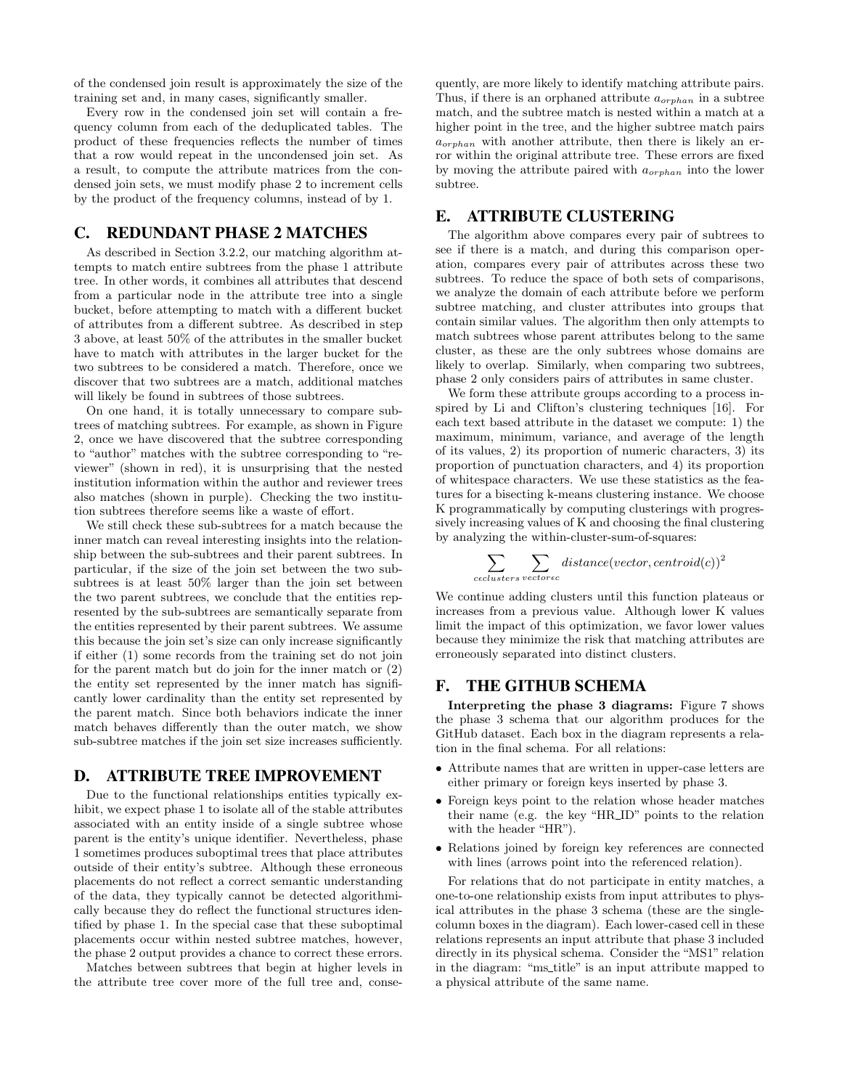of the condensed join result is approximately the size of the training set and, in many cases, significantly smaller.

Every row in the condensed join set will contain a frequency column from each of the deduplicated tables. The product of these frequencies reflects the number of times that a row would repeat in the uncondensed join set. As a result, to compute the attribute matrices from the condensed join sets, we must modify phase 2 to increment cells by the product of the frequency columns, instead of by 1.

## C. REDUNDANT PHASE 2 MATCHES

As described in Section 3.2.2, our matching algorithm attempts to match entire subtrees from the phase 1 attribute tree. In other words, it combines all attributes that descend from a particular node in the attribute tree into a single bucket, before attempting to match with a different bucket of attributes from a different subtree. As described in step 3 above, at least 50% of the attributes in the smaller bucket have to match with attributes in the larger bucket for the two subtrees to be considered a match. Therefore, once we discover that two subtrees are a match, additional matches will likely be found in subtrees of those subtrees.

On one hand, it is totally unnecessary to compare subtrees of matching subtrees. For example, as shown in Figure 2, once we have discovered that the subtree corresponding to "author" matches with the subtree corresponding to "reviewer" (shown in red), it is unsurprising that the nested institution information within the author and reviewer trees also matches (shown in purple). Checking the two institution subtrees therefore seems like a waste of effort.

We still check these sub-subtrees for a match because the inner match can reveal interesting insights into the relationship between the sub-subtrees and their parent subtrees. In particular, if the size of the join set between the two subsubtrees is at least 50% larger than the join set between the two parent subtrees, we conclude that the entities represented by the sub-subtrees are semantically separate from the entities represented by their parent subtrees. We assume this because the join set's size can only increase significantly if either (1) some records from the training set do not join for the parent match but do join for the inner match or (2) the entity set represented by the inner match has significantly lower cardinality than the entity set represented by the parent match. Since both behaviors indicate the inner match behaves differently than the outer match, we show sub-subtree matches if the join set size increases sufficiently.

#### D. ATTRIBUTE TREE IMPROVEMENT

Due to the functional relationships entities typically exhibit, we expect phase 1 to isolate all of the stable attributes associated with an entity inside of a single subtree whose parent is the entity's unique identifier. Nevertheless, phase 1 sometimes produces suboptimal trees that place attributes outside of their entity's subtree. Although these erroneous placements do not reflect a correct semantic understanding of the data, they typically cannot be detected algorithmically because they do reflect the functional structures identified by phase 1. In the special case that these suboptimal placements occur within nested subtree matches, however, the phase 2 output provides a chance to correct these errors.

Matches between subtrees that begin at higher levels in the attribute tree cover more of the full tree and, consequently, are more likely to identify matching attribute pairs. Thus, if there is an orphaned attribute  $a_{orphan}$  in a subtree match, and the subtree match is nested within a match at a higher point in the tree, and the higher subtree match pairs  $a_{orphan}$  with another attribute, then there is likely an error within the original attribute tree. These errors are fixed by moving the attribute paired with  $a_{orphan}$  into the lower subtree.

## E. ATTRIBUTE CLUSTERING

The algorithm above compares every pair of subtrees to see if there is a match, and during this comparison operation, compares every pair of attributes across these two subtrees. To reduce the space of both sets of comparisons, we analyze the domain of each attribute before we perform subtree matching, and cluster attributes into groups that contain similar values. The algorithm then only attempts to match subtrees whose parent attributes belong to the same cluster, as these are the only subtrees whose domains are likely to overlap. Similarly, when comparing two subtrees, phase 2 only considers pairs of attributes in same cluster.

We form these attribute groups according to a process inspired by Li and Clifton's clustering techniques [16]. For each text based attribute in the dataset we compute: 1) the maximum, minimum, variance, and average of the length of its values, 2) its proportion of numeric characters, 3) its proportion of punctuation characters, and 4) its proportion of whitespace characters. We use these statistics as the features for a bisecting k-means clustering instance. We choose K programmatically by computing clusterings with progressively increasing values of K and choosing the final clustering by analyzing the within-cluster-sum-of-squares:

$$
\sum_{ccclusters\ vectors} \sum_{vectors c} distance(vector, centroid(c))^2
$$

We continue adding clusters until this function plateaus or increases from a previous value. Although lower K values limit the impact of this optimization, we favor lower values because they minimize the risk that matching attributes are erroneously separated into distinct clusters.

## F. THE GITHUB SCHEMA

Interpreting the phase 3 diagrams: Figure 7 shows the phase 3 schema that our algorithm produces for the GitHub dataset. Each box in the diagram represents a relation in the final schema. For all relations:

- Attribute names that are written in upper-case letters are either primary or foreign keys inserted by phase 3.
- Foreign keys point to the relation whose header matches their name (e.g. the key "HR ID" points to the relation with the header "HR").
- Relations joined by foreign key references are connected with lines (arrows point into the referenced relation).

For relations that do not participate in entity matches, a one-to-one relationship exists from input attributes to physical attributes in the phase 3 schema (these are the singlecolumn boxes in the diagram). Each lower-cased cell in these relations represents an input attribute that phase 3 included directly in its physical schema. Consider the "MS1" relation in the diagram: "ms title" is an input attribute mapped to a physical attribute of the same name.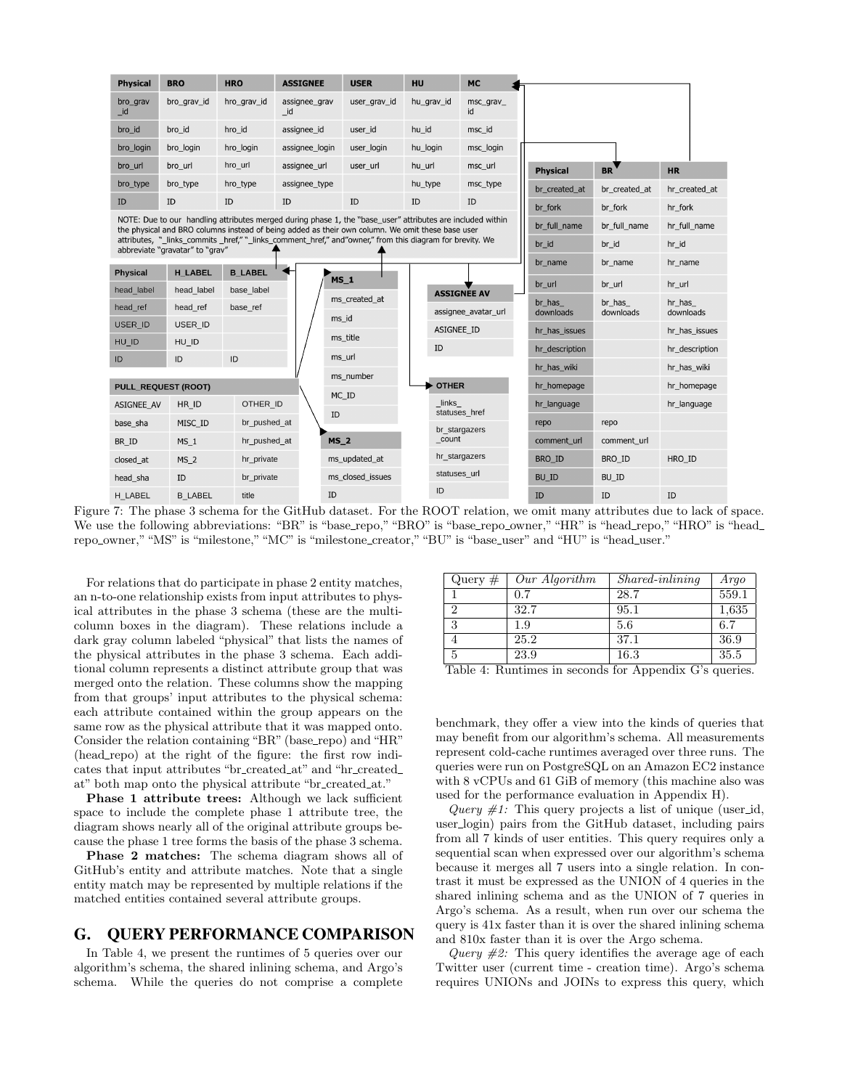

Figure 7: The phase 3 schema for the GitHub dataset. For the ROOT relation, we omit many attributes due to lack of space. We use the following abbreviations: "BR" is "base\_repo," "BRO" is "base\_repo\_owner," "HR" is "head\_repo," "HRO" is "head\_ repo\_owner," "MS" is "milestone," "MC" is "milestone\_creator," "BU" is "base\_user" and "HU" is "head\_user."

For relations that do participate in phase 2 entity matches, an n-to-one relationship exists from input attributes to physical attributes in the phase 3 schema (these are the multicolumn boxes in the diagram). These relations include a dark gray column labeled "physical" that lists the names of the physical attributes in the phase 3 schema. Each additional column represents a distinct attribute group that was merged onto the relation. These columns show the mapping from that groups' input attributes to the physical schema: each attribute contained within the group appears on the same row as the physical attribute that it was mapped onto. Consider the relation containing "BR" (base\_repo) and "HR" (head\_repo) at the right of the figure: the first row indicates that input attributes "br\_created\_at" and "hr\_created\_ at" both map onto the physical attribute "br\_created\_at."

Phase 1 attribute trees: Although we lack sufficient space to include the complete phase 1 attribute tree, the diagram shows nearly all of the original attribute groups because the phase 1 tree forms the basis of the phase 3 schema.

Phase 2 matches: The schema diagram shows all of GitHub's entity and attribute matches. Note that a single entity match may be represented by multiple relations if the matched entities contained several attribute groups.

#### G. QUERY PERFORMANCE COMPARISON

In Table 4, we present the runtimes of 5 queries over our algorithm's schema, the shared inlining schema, and Argo's schema. While the queries do not comprise a complete

| Query $#$     | Our Algorithm | Shared-inlining | Argo  |
|---------------|---------------|-----------------|-------|
|               | 0.7           | 28.7            | 559.1 |
| $\mathcal{D}$ | 32.7          | 95.1            | 1,635 |
| 3             | 1.9           | 5.6             | 6.7   |
|               | 25.2          | 37.1            | 36.9  |
| 5             | 23.9          | 16.3            | 35.5  |

Table 4: Runtimes in seconds for Appendix G's queries.

benchmark, they offer a view into the kinds of queries that may benefit from our algorithm's schema. All measurements represent cold-cache runtimes averaged over three runs. The queries were run on PostgreSQL on an Amazon EC2 instance with 8 vCPUs and 61 GiB of memory (this machine also was used for the performance evaluation in Appendix H).

Query  $\#1$ : This query projects a list of unique (user\_id, user login) pairs from the GitHub dataset, including pairs from all 7 kinds of user entities. This query requires only a sequential scan when expressed over our algorithm's schema because it merges all 7 users into a single relation. In contrast it must be expressed as the UNION of 4 queries in the shared inlining schema and as the UNION of 7 queries in Argo's schema. As a result, when run over our schema the query is 41x faster than it is over the shared inlining schema and 810x faster than it is over the Argo schema.

Query  $\#2$ : This query identifies the average age of each Twitter user (current time - creation time). Argo's schema requires UNIONs and JOINs to express this query, which